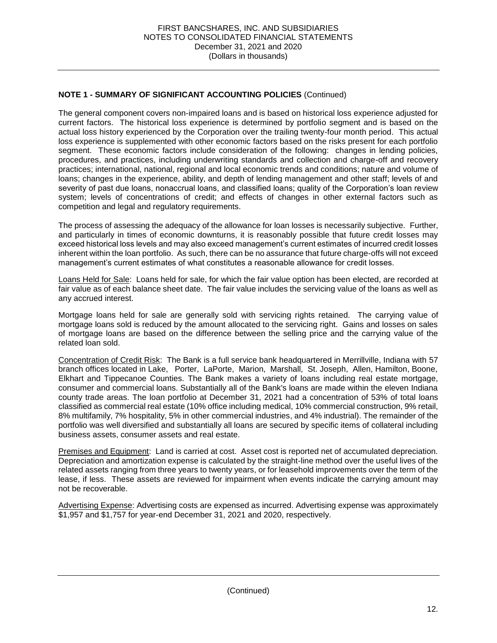current factors. The historical loss experience is determined by portfolio segment and is based on the actual loss history experienced by the Corporation over the trailing twenty-four month period. This actual loss experience is supplemented with other economic factors based on the risks present for each portfolio segment. These economic factors include consideration of the following: changes in lending policies, procedures, and practices, including underwriting standards and collection and charge-off and recovery loans; changes in the experience, ability, and depth of lending management and other staff; levels of and severity of past due loans, nonaccrual loans, and classified loans; quality of the Corporation's loan review system; levels of concentrations of credit; and effects of changes in other external factors such as The general component covers non-impaired loans and is based on historical loss experience adjusted for practices; international, national, regional and local economic trends and conditions; nature and volume of competition and legal and regulatory requirements.

 The process of assessing the adequacy of the allowance for loan losses is necessarily subjective. Further, and particularly in times of economic downturns, it is reasonably possible that future credit losses may exceed historical loss levels and may also exceed management's current estimates of incurred credit losses inherent within the loan portfolio. As such, there can be no assurance that future charge-offs will not exceed management's current estimates of what constitutes a reasonable allowance for credit losses.

 fair value as of each balance sheet date. The fair value includes the servicing value of the loans as well as Loans Held for Sale: Loans held for sale, for which the fair value option has been elected, are recorded at any accrued interest.

 Mortgage loans held for sale are generally sold with servicing rights retained. The carrying value of mortgage loans sold is reduced by the amount allocated to the servicing right. Gains and losses on sales of mortgage loans are based on the difference between the selling price and the carrying value of the related loan sold.

Concentration of Credit Risk: The Bank is a full service bank headquartered in Merrillville, Indiana with 57 branch offices located in Lake, Porter, LaPorte, Marion, Marshall, St. Joseph, Allen, Hamilton, Boone, Elkhart and Tippecanoe Counties. The Bank makes a variety of loans including real estate mortgage, consumer and commercial loans. Substantially all of the Bank's loans are made within the eleven Indiana county trade areas. The loan portfolio at December 31, 2021 had a concentration of 53% of total loans classified as commercial real estate (10% office including medical, 10% commercial construction, 9% retail, 8% multifamily, 7% hospitality, 5% in other commercial industries, and 4% industrial). The remainder of the business assets, consumer assets and real estate. portfolio was well diversified and substantially all loans are secured by specific items of collateral including

Premises and Equipment: Land is carried at cost. Asset cost is reported net of accumulated depreciation. Depreciation and amortization expense is calculated by the straight-line method over the useful lives of the related assets ranging from three years to twenty years, or for leasehold improvements over the term of the lease, if less. These assets are reviewed for impairment when events indicate the carrying amount may not be recoverable.

Advertising Expense: Advertising costs are expensed as incurred. Advertising expense was approximately \$1,957 and \$1,757 for year-end December 31, 2021 and 2020, respectively.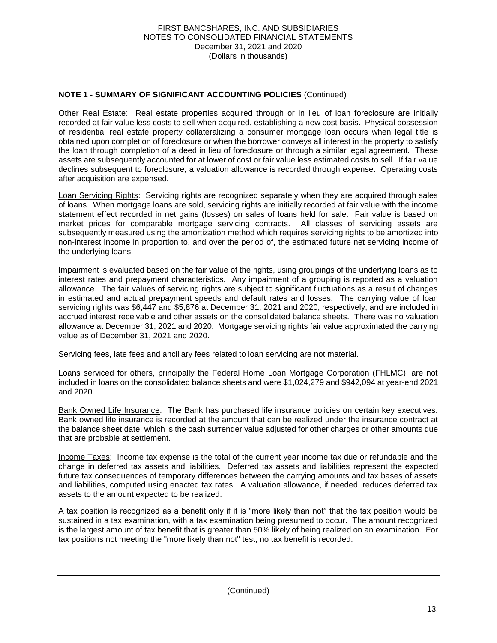Other Real Estate: Real estate properties acquired through or in lieu of loan foreclosure are initially recorded at fair value less costs to sell when acquired, establishing a new cost basis. Physical possession of residential real estate property collateralizing a consumer mortgage loan occurs when legal title is obtained upon completion of foreclosure or when the borrower conveys all interest in the property to satisfy the loan through completion of a deed in lieu of foreclosure or through a similar legal agreement. These assets are subsequently accounted for at lower of cost or fair value less estimated costs to sell. If fair value declines subsequent to foreclosure, a valuation allowance is recorded through expense. Operating costs after acquisition are expensed.

Loan Servicing Rights: Servicing rights are recognized separately when they are acquired through sales of loans. When mortgage loans are sold, servicing rights are initially recorded at fair value with the income statement effect recorded in net gains (losses) on sales of loans held for sale. Fair value is based on market prices for comparable mortgage servicing contracts. All classes of servicing assets are subsequently measured using the amortization method which requires servicing rights to be amortized into non-interest income in proportion to, and over the period of, the estimated future net servicing income of the underlying loans.

 Impairment is evaluated based on the fair value of the rights, using groupings of the underlying loans as to interest rates and prepayment characteristics. Any impairment of a grouping is reported as a valuation allowance. The fair values of servicing rights are subject to significant fluctuations as a result of changes in estimated and actual prepayment speeds and default rates and losses. The carrying value of loan servicing rights was \$6,447 and \$5,876 at December 31, 2021 and 2020, respectively, and are included in accrued interest receivable and other assets on the consolidated balance sheets. There was no valuation allowance at December 31, 2021 and 2020. Mortgage servicing rights fair value approximated the carrying value as of December 31, 2021 and 2020.

Servicing fees, late fees and ancillary fees related to loan servicing are not material.

 Loans serviced for others, principally the Federal Home Loan Mortgage Corporation (FHLMC), are not included in loans on the consolidated balance sheets and were \$1,024,279 and \$942,094 at year-end 2021 and 2020.

Bank Owned Life Insurance: The Bank has purchased life insurance policies on certain key executives. Bank owned life insurance is recorded at the amount that can be realized under the insurance contract at the balance sheet date, which is the cash surrender value adjusted for other charges or other amounts due that are probable at settlement.

Income Taxes: Income tax expense is the total of the current year income tax due or refundable and the change in deferred tax assets and liabilities. Deferred tax assets and liabilities represent the expected future tax consequences of temporary differences between the carrying amounts and tax bases of assets and liabilities, computed using enacted tax rates. A valuation allowance, if needed, reduces deferred tax assets to the amount expected to be realized.

 A tax position is recognized as a benefit only if it is "more likely than not" that the tax position would be sustained in a tax examination, with a tax examination being presumed to occur. The amount recognized is the largest amount of tax benefit that is greater than 50% likely of being realized on an examination. For tax positions not meeting the "more likely than not" test, no tax benefit is recorded.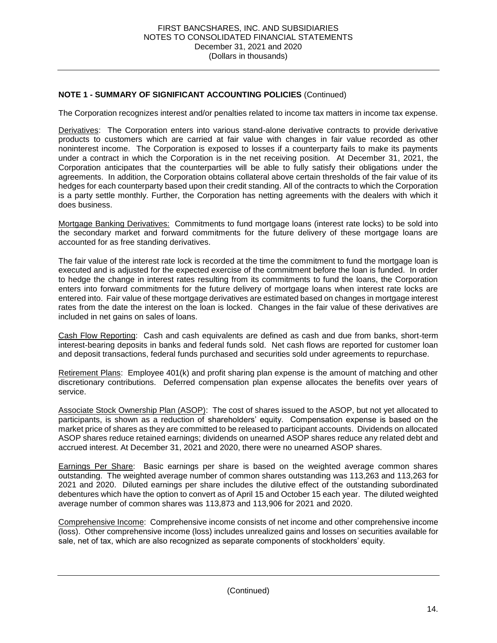The Corporation recognizes interest and/or penalties related to income tax matters in income tax expense.

Derivatives: The Corporation enters into various stand-alone derivative contracts to provide derivative products to customers which are carried at fair value with changes in fair value recorded as other noninterest income. The Corporation is exposed to losses if a counterparty fails to make its payments under a contract in which the Corporation is in the net receiving position. At December 31, 2021, the Corporation anticipates that the counterparties will be able to fully satisfy their obligations under the agreements. In addition, the Corporation obtains collateral above certain thresholds of the fair value of its hedges for each counterparty based upon their credit standing. All of the contracts to which the Corporation is a party settle monthly. Further, the Corporation has netting agreements with the dealers with which it does business.

Mortgage Banking Derivatives: Commitments to fund mortgage loans (interest rate locks) to be sold into the secondary market and forward commitments for the future delivery of these mortgage loans are accounted for as free standing derivatives.

 The fair value of the interest rate lock is recorded at the time the commitment to fund the mortgage loan is executed and is adjusted for the expected exercise of the commitment before the loan is funded. In order to hedge the change in interest rates resulting from its commitments to fund the loans, the Corporation enters into forward commitments for the future delivery of mortgage loans when interest rate locks are entered into. Fair value of these mortgage derivatives are estimated based on changes in mortgage interest rates from the date the interest on the loan is locked. Changes in the fair value of these derivatives are included in net gains on sales of loans.

Cash Flow Reporting: Cash and cash equivalents are defined as cash and due from banks, short-term interest-bearing deposits in banks and federal funds sold. Net cash flows are reported for customer loan and deposit transactions, federal funds purchased and securities sold under agreements to repurchase.

Retirement Plans: Employee 401(k) and profit sharing plan expense is the amount of matching and other discretionary contributions. Deferred compensation plan expense allocates the benefits over years of service.

 participants, is shown as a reduction of shareholders' equity. Compensation expense is based on the market price of shares as they are committed to be released to participant accounts. Dividends on allocated ASOP shares reduce retained earnings; dividends on unearned ASOP shares reduce any related debt and Associate Stock Ownership Plan (ASOP): The cost of shares issued to the ASOP, but not yet allocated to accrued interest. At December 31, 2021 and 2020, there were no unearned ASOP shares.

Earnings Per Share: Basic earnings per share is based on the weighted average common shares outstanding. The weighted average number of common shares outstanding was 113,263 and 113,263 for 2021 and 2020. Diluted earnings per share includes the dilutive effect of the outstanding subordinated debentures which have the option to convert as of April 15 and October 15 each year. The diluted weighted average number of common shares was 113,873 and 113,906 for 2021 and 2020.

 Comprehensive Income: Comprehensive income consists of net income and other comprehensive income (loss). Other comprehensive income (loss) includes unrealized gains and losses on securities available for sale, net of tax, which are also recognized as separate components of stockholders' equity.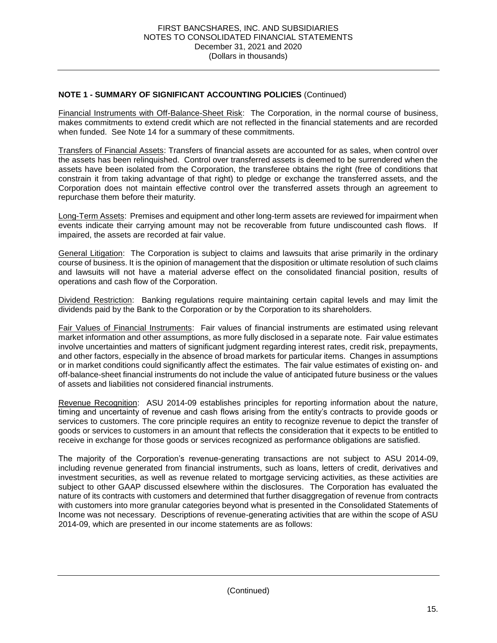Financial Instruments with Off-Balance-Sheet Risk: The Corporation, in the normal course of business, makes commitments to extend credit which are not reflected in the financial statements and are recorded when funded. See Note 14 for a summary of these commitments.

Transfers of Financial Assets: Transfers of financial assets are accounted for as sales, when control over the assets has been relinquished. Control over transferred assets is deemed to be surrendered when the assets have been isolated from the Corporation, the transferee obtains the right (free of conditions that constrain it from taking advantage of that right) to pledge or exchange the transferred assets, and the Corporation does not maintain effective control over the transferred assets through an agreement to repurchase them before their maturity.

 Long-Term Assets: Premises and equipment and other long-term assets are reviewed for impairment when events indicate their carrying amount may not be recoverable from future undiscounted cash flows. If impaired, the assets are recorded at fair value.

General Litigation: The Corporation is subject to claims and lawsuits that arise primarily in the ordinary course of business. It is the opinion of management that the disposition or ultimate resolution of such claims and lawsuits will not have a material adverse effect on the consolidated financial position, results of operations and cash flow of the Corporation.

Dividend Restriction: Banking regulations require maintaining certain capital levels and may limit the dividends paid by the Bank to the Corporation or by the Corporation to its shareholders.

Fair Values of Financial Instruments: Fair values of financial instruments are estimated using relevant market information and other assumptions, as more fully disclosed in a separate note. Fair value estimates and other factors, especially in the absence of broad markets for particular items. Changes in assumptions or in market conditions could significantly affect the estimates. The fair value estimates of existing on- and off-balance-sheet financial instruments do not include the value of anticipated future business or the values involve uncertainties and matters of significant judgment regarding interest rates, credit risk, prepayments, of assets and liabilities not considered financial instruments.

Revenue Recognition: ASU 2014-09 establishes principles for reporting information about the nature, timing and uncertainty of revenue and cash flows arising from the entity's contracts to provide goods or services to customers. The core principle requires an entity to recognize revenue to depict the transfer of goods or services to customers in an amount that reflects the consideration that it expects to be entitled to receive in exchange for those goods or services recognized as performance obligations are satisfied.

 The majority of the Corporation's revenue-generating transactions are not subject to ASU 2014-09, including revenue generated from financial instruments, such as loans, letters of credit, derivatives and investment securities, as well as revenue related to mortgage servicing activities, as these activities are subject to other GAAP discussed elsewhere within the disclosures. The Corporation has evaluated the nature of its contracts with customers and determined that further disaggregation of revenue from contracts with customers into more granular categories beyond what is presented in the Consolidated Statements of Income was not necessary. Descriptions of revenue-generating activities that are within the scope of ASU 2014-09, which are presented in our income statements are as follows: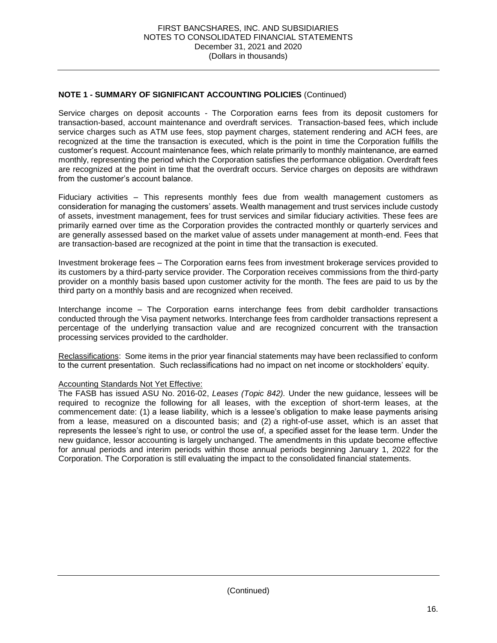Service charges on deposit accounts - The Corporation earns fees from its deposit customers for service charges such as ATM use fees, stop payment charges, statement rendering and ACH fees, are recognized at the time the transaction is executed, which is the point in time the Corporation fulfills the customer's request. Account maintenance fees, which relate primarily to monthly maintenance, are earned monthly, representing the period which the Corporation satisfies the performance obligation. Overdraft fees are recognized at the point in time that the overdraft occurs. Service charges on deposits are withdrawn transaction-based, account maintenance and overdraft services. Transaction-based fees, which include from the customer's account balance.

 Fiduciary activities – This represents monthly fees due from wealth management customers as consideration for managing the customers' assets. Wealth management and trust services include custody primarily earned over time as the Corporation provides the contracted monthly or quarterly services and are generally assessed based on the market value of assets under management at month-end. Fees that are transaction-based are recognized at the point in time that the transaction is executed. of assets, investment management, fees for trust services and similar fiduciary activities. These fees are

 Investment brokerage fees – The Corporation earns fees from investment brokerage services provided to provider on a monthly basis based upon customer activity for the month. The fees are paid to us by the its customers by a third-party service provider. The Corporation receives commissions from the third-party third party on a monthly basis and are recognized when received.

 Interchange income – The Corporation earns interchange fees from debit cardholder transactions percentage of the underlying transaction value and are recognized concurrent with the transaction conducted through the Visa payment networks. Interchange fees from cardholder transactions represent a processing services provided to the cardholder.

Reclassifications: Some items in the prior year financial statements may have been reclassified to conform to the current presentation. Such reclassifications had no impact on net income or stockholders' equity.

#### **Accounting Standards Not Yet Effective:**

Accounting Standards Not Yet Effective:<br>The FASB has issued ASU No. 2016-02, *Leases (Topic 842).* Under the new guidance, lessees will be required to recognize the following for all leases, with the exception of short-term leases, at the commencement date: (1) a lease liability, which is a lessee's obligation to make lease payments arising from a lease, measured on a discounted basis; and (2) a right-of-use asset, which is an asset that represents the lessee's right to use, or control the use of, a specified asset for the lease term. Under the new guidance, lessor accounting is largely unchanged. The amendments in this update become effective for annual periods and interim periods within those annual periods beginning January 1, 2022 for the Corporation. The Corporation is still evaluating the impact to the consolidated financial statements.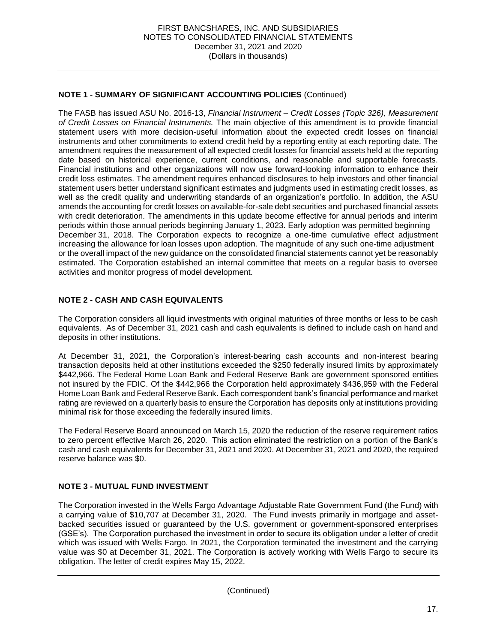The FASB has issued ASU No. 2016-13, *Financial Instrument – Credit Losses (Topic 326), Measurement of Credit Losses on Financial Instruments.* The main objective of this amendment is to provide financial statement users with more decision-useful information about the expected credit losses on financial instruments and other commitments to extend credit held by a reporting entity at each reporting date. The amendment requires the measurement of all expected credit losses for financial assets held at the reporting date based on historical experience, current conditions, and reasonable and supportable forecasts. Financial institutions and other organizations will now use forward-looking information to enhance their statement users better understand significant estimates and judgments used in estimating credit losses, as well as the credit quality and underwriting standards of an organization's portfolio. In addition, the ASU amends the accounting for credit losses on available-for-sale debt securities and purchased financial assets with credit deterioration. The amendments in this update become effective for annual periods and interim periods within those annual periods beginning January 1, 2023. Early adoption was permitted beginning December 31, 2018. The Corporation expects to recognize a one-time cumulative effect adjustment increasing the allowance for loan losses upon adoption. The magnitude of any such one-time adjustment or the overall impact of the new guidance on the consolidated financial statements cannot yet be reasonably estimated. The Corporation established an internal committee that meets on a regular basis to oversee credit loss estimates. The amendment requires enhanced disclosures to help investors and other financial activities and monitor progress of model development.

#### **NOTE 2 - CASH AND CASH EQUIVALENTS**

 The Corporation considers all liquid investments with original maturities of three months or less to be cash equivalents. As of December 31, 2021 cash and cash equivalents is defined to include cash on hand and deposits in other institutions.

 At December 31, 2021, the Corporation's interest-bearing cash accounts and non-interest bearing transaction deposits held at other institutions exceeded the \$250 federally insured limits by approximately \$442,966. The Federal Home Loan Bank and Federal Reserve Bank are government sponsored entities not insured by the FDIC. Of the \$442,966 the Corporation held approximately \$436,959 with the Federal Home Loan Bank and Federal Reserve Bank. Each correspondent bank's financial performance and market rating are reviewed on a quarterly basis to ensure the Corporation has deposits only at institutions providing minimal risk for those exceeding the federally insured limits.

minimal risk for those exceeding the federally insured limits.<br>The Federal Reserve Board announced on March 15, 2020 the reduction of the reserve requirement ratios to zero percent effective March 26, 2020. This action eliminated the restriction on a portion of the Bank's cash and cash equivalents for December 31, 2021 and 2020. At December 31, 2021 and 2020, the required reserve balance was \$0.

#### **NOTE 3 - MUTUAL FUND INVESTMENT**

 The Corporation invested in the Wells Fargo Advantage Adjustable Rate Government Fund (the Fund) with a carrying value of \$10,707 at December 31, 2020. The Fund invests primarily in mortgage and asset- backed securities issued or guaranteed by the U.S. government or government-sponsored enterprises (GSE's). The Corporation purchased the investment in order to secure its obligation under a letter of credit which was issued with Wells Fargo. In 2021, the Corporation terminated the investment and the carrying value was \$0 at December 31, 2021. The Corporation is actively working with Wells Fargo to secure its obligation. The letter of credit expires May 15, 2022.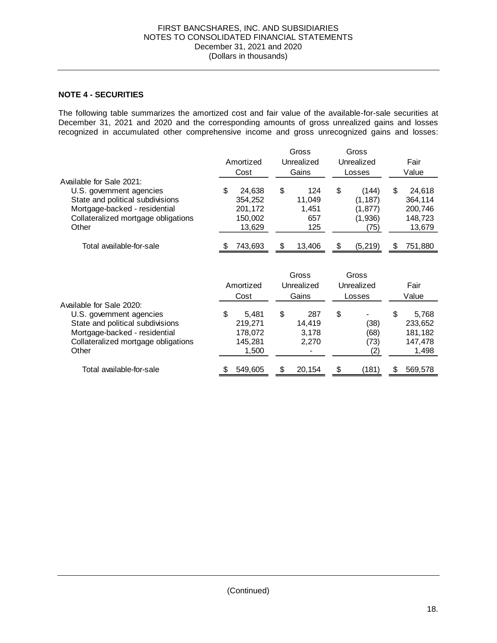#### **NOTE 4 - SECURITIES**

 The following table summarizes the amortized cost and fair value of the available-for-sale securities at December 31, 2021 and 2020 and the corresponding amounts of gross unrealized gains and losses recognized in accumulated other comprehensive income and gross unrecognized gains and losses:

|                                     |    |           | Gross        | Gross          |       |         |
|-------------------------------------|----|-----------|--------------|----------------|-------|---------|
|                                     |    | Amortized | Unrealized   | Unrealized     |       | Fair    |
|                                     |    | Cost      | Gains        | Losses         | Value |         |
| Available for Sale 2021:            |    |           |              |                |       |         |
| U.S. government agencies            | \$ | 24,638    | \$<br>124    | \$<br>(144)    | \$    | 24,618  |
| State and political subdivisions    |    | 354,252   | 11,049       | (1, 187)       |       | 364,114 |
| Mortgage-backed - residential       |    | 201,172   | 1,451        | (1, 877)       |       | 200,746 |
| Collateralized mortgage obligations |    | 150,002   | 657          | (1,936)        |       | 148,723 |
| Other                               |    | 13,629    | 125          | (75)           |       | 13,679  |
|                                     |    |           |              |                |       |         |
| Total available-for-sale            |    | 743,693   | \$<br>13,406 | \$<br>(5, 219) | S     | 751,880 |
|                                     |    |           |              |                |       |         |
|                                     |    |           | Gross        | Gross          |       |         |
|                                     |    | Amortized | Unrealized   | Unrealized     |       | Fair    |
|                                     |    | Cost      | Gains        | Losses         |       | Value   |
| Available for Sale 2020:            |    |           |              |                |       |         |
| U.S. government agencies            | \$ | 5,481     | \$<br>287    | \$             | \$    | 5,768   |
| State and political subdivisions    |    | 219,271   | 14,419       | (38)           |       | 233,652 |
| Mortgage-backed - residential       |    | 178,072   | 3,178        | (68)           |       | 181,182 |
| Collateralized mortgage obligations |    | 145,281   | 2,270        | (73)           |       | 147,478 |
| Other                               |    | 1,500     |              | (2)            |       | 1,498   |
| Total available-for-sale            | S  | 549,605   | \$<br>20,154 | \$<br>(181)    | \$    | 569,578 |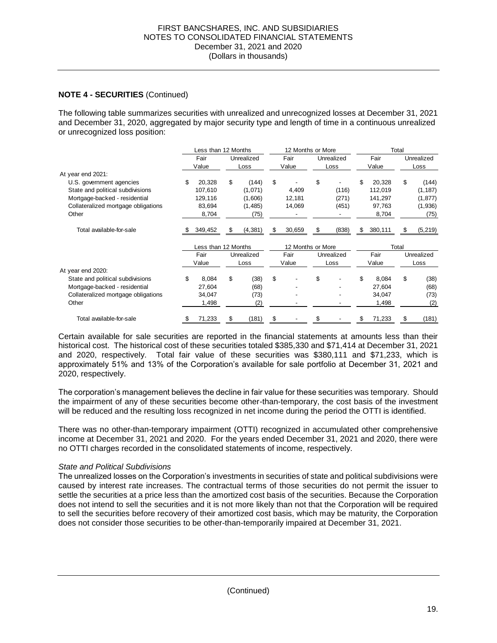#### **NOTE 4 - SECURITIES** (Continued)

 The following table summarizes securities with unrealized and unrecognized losses at December 31, 2021 and December 31, 2020, aggregated by major security type and length of time in a continuous unrealized<br>or unrecognized loss position:

|                                     |    | Less than 12 Months |    |            | 12 Months or More |        |    |            | Total |         |            |            |  |
|-------------------------------------|----|---------------------|----|------------|-------------------|--------|----|------------|-------|---------|------------|------------|--|
|                                     |    | Fair                |    | Unrealized |                   | Fair   |    | Unrealized |       | Fair    | Unrealized |            |  |
|                                     |    | Value               |    | Loss       |                   | Value  |    | Loss       |       | Value   |            | Loss       |  |
| At year end 2021:                   |    |                     |    |            |                   |        |    |            |       |         |            |            |  |
| U.S. government agencies            | \$ | 20,328              | \$ | (144)      | \$                |        | \$ |            | \$    | 20,328  | \$         | (144)      |  |
| State and political subdivisions    |    | 107,610             |    | (1,071)    |                   | 4,409  |    | (116)      |       | 112,019 |            | (1, 187)   |  |
| Mortgage-backed - residential       |    | 129,116             |    | (1,606)    |                   | 12,181 |    | (271)      |       | 141,297 |            | (1, 877)   |  |
| Collateralized mortgage obligations |    | 83,694              |    | (1,485)    |                   | 14,069 |    | (451)      |       | 97,763  |            | (1,936)    |  |
| Other                               |    | 8,704               |    | (75)       |                   |        |    |            |       | 8,704   |            | (75)       |  |
| Total available-for-sale            | S. | 349,452             |    | (4, 381)   | \$                | 30,659 |    | (838)      | \$    | 380,111 | \$         | (5, 219)   |  |
|                                     |    | Less than 12 Months |    |            | 12 Months or More |        |    | Total      |       |         |            |            |  |
|                                     |    | Fair                |    | Unrealized |                   | Fair   |    | Unrealized |       | Fair    |            | Unrealized |  |
|                                     |    | Value               |    | Loss       |                   | Value  |    | Loss       |       | Value   |            | Loss       |  |
| At year end 2020:                   |    |                     |    |            |                   |        |    |            |       |         |            |            |  |
| State and political subdivisions    | \$ | 8,084               | \$ | (38)       | \$                |        | \$ |            | \$    | 8,084   | \$         | (38)       |  |
| Mortgage-backed - residential       |    | 27,604              |    | (68)       |                   |        |    |            |       | 27,604  |            | (68)       |  |
| Collateralized mortgage obligations |    | 34,047              |    | (73)       |                   |        |    |            |       | 34,047  |            | (73)       |  |
| Other                               |    | 1,498               |    | (2)        |                   |        |    |            |       | 1,498   |            | (2)        |  |
| Total available-for-sale            | \$ | 71,233              | \$ | (181)      | \$                |        | \$ |            | \$    | 71,233  | \$         | (181)      |  |

 Certain available for sale securities are reported in the financial statements at amounts less than their historical cost. The historical cost of these securities totaled \$385,330 and \$71,414 at December 31, 2021 and 2020, respectively. Total fair value of these securities was \$380,111 and \$71,233, which is approximately 51% and 13% of the Corporation's available for sale portfolio at December 31, 2021 and 2020, respectively.

 The corporation's management believes the decline in fair value for these securities was temporary. Should the impairment of any of these securities become other-than-temporary, the cost basis of the investment will be reduced and the resulting loss recognized in net income during the period the OTTI is identified.

 There was no other-than-temporary impairment (OTTI) recognized in accumulated other comprehensive income at December 31, 2021 and 2020. For the years ended December 31, 2021 and 2020, there were no OTTI charges recorded in the consolidated statements of income, respectively.

#### *State and Political Subdivisions*

 The unrealized losses on the Corporation's investments in securities of state and political subdivisions were caused by interest rate increases. The contractual terms of those securities do not permit the issuer to settle the securities at a price less than the amortized cost basis of the securities. Because the Corporation does not intend to sell the securities and it is not more likely than not that the Corporation will be required to sell the securities before recovery of their amortized cost basis, which may be maturity, the Corporation does not consider those securities to be other-than-temporarily impaired at December 31, 2021.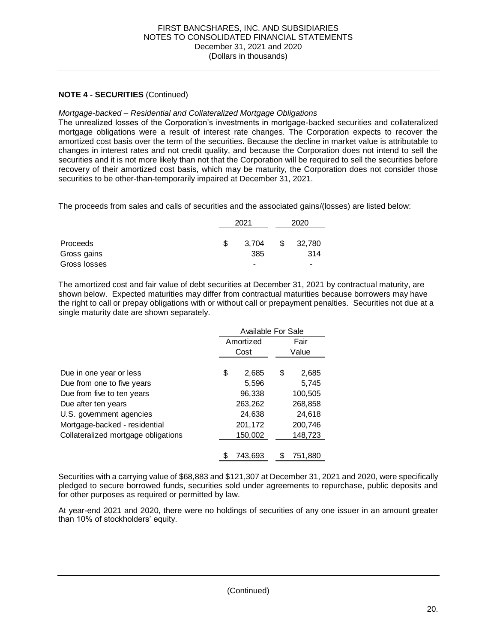#### **NOTE 4 - SECURITIES** (Continued)

#### *Mortgage-backed – Residential and Collateralized Mortgage Obligations*

 The unrealized losses of the Corporation's investments in mortgage-backed securities and collateralized mortgage obligations were a result of interest rate changes. The Corporation expects to recover the amortized cost basis over the term of the securities. Because the decline in market value is attributable to changes in interest rates and not credit quality, and because the Corporation does not intend to sell the recovery of their amortized cost basis, which may be maturity, the Corporation does not consider those securities and it is not more likely than not that the Corporation will be required to sell the securities before securities to be other-than-temporarily impaired at December 31, 2021.

The proceeds from sales and calls of securities and the associated gains/(losses) are listed below:

|                 |   | 2021  | 2020 |                          |  |
|-----------------|---|-------|------|--------------------------|--|
| <b>Proceeds</b> | S | 3.704 | S    | 32,780                   |  |
| Gross gains     |   | 385   |      | 314                      |  |
| Gross losses    |   | -     |      | $\overline{\phantom{0}}$ |  |

 the right to call or prepay obligations with or without call or prepayment penalties. Securities not due at a The amortized cost and fair value of debt securities at December 31, 2021 by contractual maturity, are shown below. Expected maturities may differ from contractual maturities because borrowers may have single maturity date are shown separately.

|                                     | Available For Sale |           |   |         |  |  |  |  |
|-------------------------------------|--------------------|-----------|---|---------|--|--|--|--|
|                                     |                    | Amortized |   | Fair    |  |  |  |  |
|                                     |                    | Cost      |   | Value   |  |  |  |  |
|                                     |                    |           |   |         |  |  |  |  |
| Due in one year or less             | \$                 | 2,685     | S | 2,685   |  |  |  |  |
| Due from one to five years          |                    | 5,596     |   | 5.745   |  |  |  |  |
| Due from five to ten years          |                    | 96,338    |   | 100,505 |  |  |  |  |
| Due after ten years                 |                    | 263,262   |   | 268,858 |  |  |  |  |
| U.S. government agencies            |                    | 24,638    |   | 24,618  |  |  |  |  |
| Mortgage-backed - residential       |                    | 201,172   |   | 200,746 |  |  |  |  |
| Collateralized mortgage obligations |                    | 150,002   |   | 148,723 |  |  |  |  |
|                                     |                    |           |   |         |  |  |  |  |
|                                     |                    | 743.693   |   | 751,880 |  |  |  |  |

 Securities with a carrying value of \$68,883 and \$121,307 at December 31, 2021 and 2020, were specifically pledged to secure borrowed funds, securities sold under agreements to repurchase, public deposits and for other purposes as required or permitted by law.

 At year-end 2021 and 2020, there were no holdings of securities of any one issuer in an amount greater than 10% of stockholders' equity.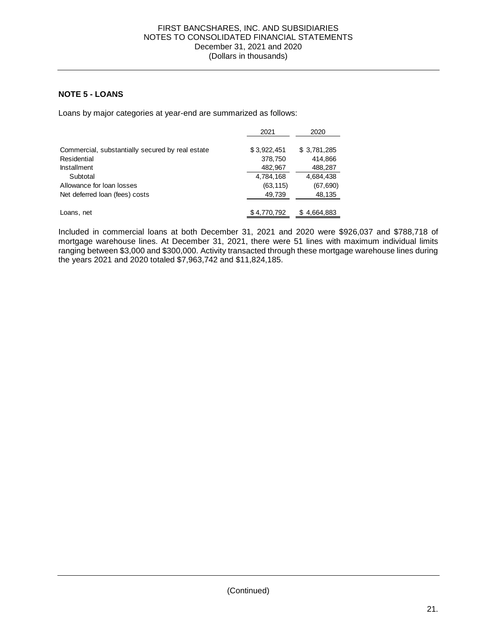#### **NOTE 5 - LOANS**

Loans by major categories at year-end are summarized as follows:

|                                                  | 2021        | 2020        |
|--------------------------------------------------|-------------|-------------|
|                                                  |             |             |
| Commercial, substantially secured by real estate | \$3,922,451 | \$3,781,285 |
| Residential                                      | 378,750     | 414.866     |
| <b>Installment</b>                               | 482,967     | 488,287     |
| Subtotal                                         | 4,784,168   | 4,684,438   |
| Allowance for loan losses                        | (63, 115)   | (67, 690)   |
| Net deferred loan (fees) costs                   | 49,739      | 48,135      |
|                                                  |             |             |
| Loans, net                                       | \$4,770,792 | 4,664,883   |

 Included in commercial loans at both December 31, 2021 and 2020 were \$926,037 and \$788,718 of mortgage warehouse lines. At December 31, 2021, there were 51 lines with maximum individual limits ranging between \$3,000 and \$300,000. Activity transacted through these mortgage warehouse lines during the years 2021 and 2020 totaled \$7,963,742 and \$11,824,185.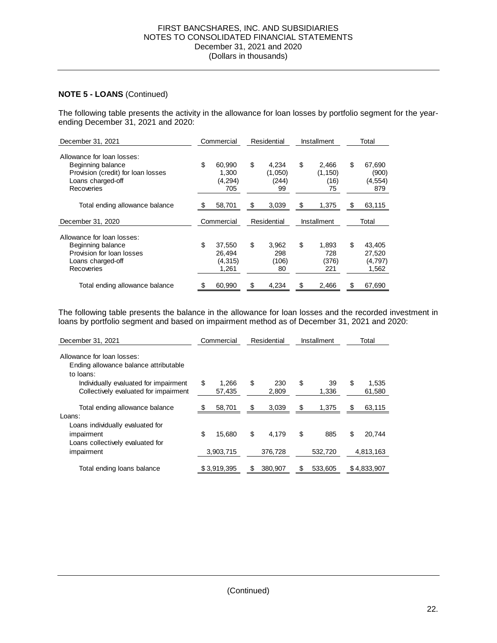#### December 31, 2021 and 2020 FIRST BANCSHARES, INC. AND SUBSIDIARIES NOTES TO CONSOLIDATED FINANCIAL STATEMENTS (Dollars in thousands)

#### **NOTE 5 - LOANS** (Continued)

 The following table presents the activity in the allowance for loan losses by portfolio segment for the year-ending December 31, 2021 and 2020:

| December 31, 2021                                                                                                        | Commercial |                                       | Residential |                                 | Installment |                                 | Total                                      |
|--------------------------------------------------------------------------------------------------------------------------|------------|---------------------------------------|-------------|---------------------------------|-------------|---------------------------------|--------------------------------------------|
| Allowance for loan losses:<br>Beginning balance<br>Provision (credit) for loan losses<br>Loans charged-off<br>Recoveries | \$         | 60,990<br>1,300<br>(4,294)<br>705     | \$          | 4,234<br>(1,050)<br>(244)<br>99 | \$          | 2,466<br>(1, 150)<br>(16)<br>75 | \$<br>67,690<br>(900)<br>(4, 554)<br>879   |
| Total ending allowance balance                                                                                           |            | 58,701                                | \$          | 3,039                           | \$          | 1,375                           | \$<br>63,115                               |
| December 31, 2020                                                                                                        |            | Commercial                            |             | Residential                     |             | Installment                     | Total                                      |
| Allowance for loan losses:<br>Beginning balance<br>Provision for loan losses<br>Loans charged-off<br>Recoveries          | \$         | 37,550<br>26,494<br>(4, 315)<br>1,261 | \$          | 3,962<br>298<br>(106)<br>80     | \$          | 1,893<br>728<br>(376)<br>221    | \$<br>43,405<br>27,520<br>(4,797)<br>1,562 |
| Total ending allowance balance                                                                                           | S          | 60,990                                | S           | 4,234                           | \$          | 2,466                           | \$<br>67,690                               |

 The following table presents the balance in the allowance for loan losses and the recorded investment in loans by portfolio segment and based on impairment method as of December 31, 2021 and 2020:

| December 31, 2021                                                                  | Commercial            | Residential |              | Installment |             | Total                 |
|------------------------------------------------------------------------------------|-----------------------|-------------|--------------|-------------|-------------|-----------------------|
| Allowance for loan losses:<br>Ending allowance balance attributable<br>to loans:   |                       |             |              |             |             |                       |
| Individually evaluated for impairment<br>Collectively evaluated for impairment     | \$<br>1.266<br>57.435 | S           | 230<br>2,809 | \$          | 39<br>1.336 | \$<br>1,535<br>61,580 |
| Total ending allowance balance<br>Loans:                                           | 58,701                | S           | 3,039        | \$          | 1,375       | \$<br>63,115          |
| Loans individually evaluated for<br>impairment<br>Loans collectively evaluated for | \$<br>15.680          | \$          | 4.179        | \$          | 885         | \$<br>20.744          |
| impairment                                                                         | 3,903,715             |             | 376,728      |             | 532.720     | 4,813,163             |
| Total ending loans balance                                                         | \$3,919,395           |             | 380,907      | S           | 533,605     | \$4,833,907           |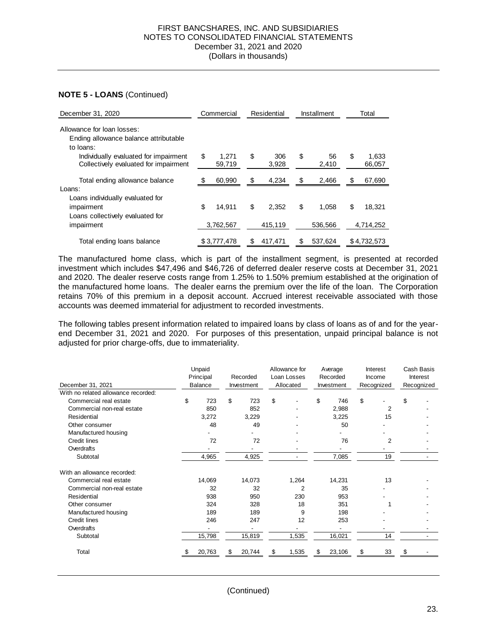| December 31, 2020                                                                  | Commercial            |    | Residential  |    | Installment |    | Total           |
|------------------------------------------------------------------------------------|-----------------------|----|--------------|----|-------------|----|-----------------|
| Allowance for loan losses:<br>Ending allowance balance attributable<br>to loans:   |                       |    |              |    |             |    |                 |
| Individually evaluated for impairment<br>Collectively evaluated for impairment     | \$<br>1.271<br>59,719 | \$ | 306<br>3,928 | \$ | 56<br>2,410 | \$ | 1.633<br>66,057 |
| Total ending allowance balance<br>Loans:                                           | \$<br>60,990          | \$ | 4,234        | \$ | 2,466       | S  | 67,690          |
| Loans individually evaluated for<br>impairment<br>Loans collectively evaluated for | \$<br>14.911          | \$ | 2.352        | \$ | 1.058       | \$ | 18.321          |
| impairment                                                                         | 3,762,567             |    | 415,119      |    | 536,566     |    | 4,714,252       |
| Total ending loans balance                                                         | \$3,777,478           | S  | 417.471      | \$ | 537.624     |    | \$4,732,573     |

 The manufactured home class, which is part of the installment segment, is presented at recorded investment which includes \$47,496 and \$46,726 of deferred dealer reserve costs at December 31, 2021 and 2020. The dealer reserve costs range from 1.25% to 1.50% premium established at the origination of the manufactured home loans. The dealer earns the premium over the life of the loan. The Corporation retains 70% of this premium in a deposit account. Accrued interest receivable associated with those accounts was deemed immaterial for adjustment to recorded investments.

 The following tables present information related to impaired loans by class of loans as of and for the year- end December 31, 2021 and 2020. For purposes of this presentation, unpaid principal balance is not adjusted for prior charge-offs, due to immateriality.

| December 31, 2021                   | Unpaid<br>Principal<br><b>Balance</b> | Recorded<br>Investment |        | Allowance for<br>Loan Losses<br>Allocated |                | Average<br>Recorded<br>Investment |        | Interest<br>Income<br>Recognized |                | Cash Basis<br>Interest<br>Recognized |  |
|-------------------------------------|---------------------------------------|------------------------|--------|-------------------------------------------|----------------|-----------------------------------|--------|----------------------------------|----------------|--------------------------------------|--|
| With no related allowance recorded: |                                       |                        |        |                                           |                |                                   |        |                                  |                |                                      |  |
| Commercial real estate              | \$<br>723                             | \$                     | 723    | \$                                        |                | \$                                | 746    | \$                               |                | \$                                   |  |
| Commercial non-real estate          | 850                                   |                        | 852    |                                           |                |                                   | 2,988  |                                  | $\overline{2}$ |                                      |  |
| Residential                         | 3,272                                 |                        | 3,229  |                                           |                |                                   | 3,225  |                                  | 15             |                                      |  |
| Other consumer                      | 48                                    |                        | 49     |                                           |                |                                   | 50     |                                  |                |                                      |  |
| Manufactured housing                |                                       |                        |        |                                           |                |                                   |        |                                  |                |                                      |  |
| <b>Credit lines</b>                 | 72                                    |                        | 72     |                                           |                |                                   | 76     |                                  | $\overline{2}$ |                                      |  |
| Overdrafts                          |                                       |                        |        |                                           |                |                                   |        |                                  |                |                                      |  |
| Subtotal                            | 4,965                                 |                        | 4,925  |                                           |                |                                   | 7,085  |                                  | 19             |                                      |  |
| With an allowance recorded:         |                                       |                        |        |                                           |                |                                   |        |                                  |                |                                      |  |
| Commercial real estate              | 14,069                                |                        | 14,073 |                                           | 1,264          |                                   | 14,231 |                                  | 13             |                                      |  |
| Commercial non-real estate          | 32                                    |                        | 32     |                                           | $\overline{2}$ |                                   | 35     |                                  |                |                                      |  |
| Residential                         | 938                                   |                        | 950    |                                           | 230            |                                   | 953    |                                  |                |                                      |  |
| Other consumer                      | 324                                   |                        | 328    |                                           | 18             |                                   | 351    |                                  |                |                                      |  |
| Manufactured housing                | 189                                   |                        | 189    |                                           | 9              |                                   | 198    |                                  |                |                                      |  |
| <b>Credit lines</b>                 | 246                                   |                        | 247    |                                           | 12             |                                   | 253    |                                  |                |                                      |  |
| Overdrafts                          |                                       |                        |        |                                           |                |                                   |        |                                  |                |                                      |  |
| Subtotal                            | 15,798                                |                        | 15,819 |                                           | 1,535          |                                   | 16,021 |                                  | 14             |                                      |  |
| Total                               | 20,763                                |                        | 20,744 | \$                                        | 1,535          | \$                                | 23,106 | S                                | 33             | \$                                   |  |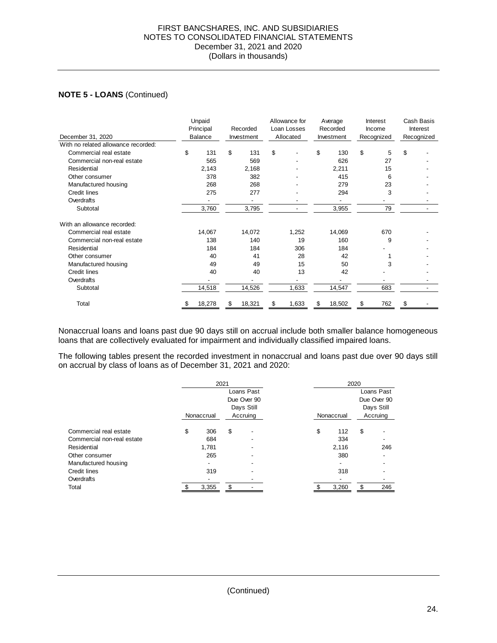#### December 31, 2021 and 2020 FIRST BANCSHARES, INC. AND SUBSIDIARIES NOTES TO CONSOLIDATED FINANCIAL STATEMENTS (Dollars in thousands)

#### **NOTE 5 - LOANS** (Continued)

| December 31, 2020                   |    | Unpaid<br>Principal<br><b>Balance</b> | Recorded<br>Investment |        | Allowance for<br>Loan Losses<br>Allocated |       | Average<br>Recorded<br>Investment |        | Interest<br>Income<br>Recognized |     | Cash Basis<br><b>Interest</b><br>Recognized |
|-------------------------------------|----|---------------------------------------|------------------------|--------|-------------------------------------------|-------|-----------------------------------|--------|----------------------------------|-----|---------------------------------------------|
| With no related allowance recorded: |    |                                       |                        |        |                                           |       |                                   |        |                                  |     |                                             |
| Commercial real estate              | \$ | 131                                   | \$                     | 131    | \$                                        |       | \$                                | 130    | \$                               | 5   | \$                                          |
| Commercial non-real estate          |    | 565                                   |                        | 569    |                                           |       |                                   | 626    |                                  | 27  |                                             |
| Residential                         |    | 2,143                                 |                        | 2,168  |                                           |       |                                   | 2,211  |                                  | 15  |                                             |
| Other consumer                      |    | 378                                   |                        | 382    |                                           |       |                                   | 415    |                                  | 6   |                                             |
| Manufactured housing                |    | 268                                   |                        | 268    |                                           |       |                                   | 279    |                                  | 23  |                                             |
| <b>Credit lines</b>                 |    | 275                                   |                        | 277    |                                           |       |                                   | 294    |                                  | 3   |                                             |
| Overdrafts                          |    |                                       |                        |        |                                           |       |                                   |        |                                  |     |                                             |
| Subtotal                            |    | 3,760                                 |                        | 3,795  |                                           |       |                                   | 3,955  |                                  | 79  |                                             |
| With an allowance recorded:         |    |                                       |                        |        |                                           |       |                                   |        |                                  |     |                                             |
| Commercial real estate              |    | 14,067                                |                        | 14,072 |                                           | 1,252 |                                   | 14,069 |                                  | 670 |                                             |
| Commercial non-real estate          |    | 138                                   |                        | 140    |                                           | 19    |                                   | 160    |                                  | 9   |                                             |
| Residential                         |    | 184                                   |                        | 184    |                                           | 306   |                                   | 184    |                                  |     |                                             |
| Other consumer                      |    | 40                                    |                        | 41     |                                           | 28    |                                   | 42     |                                  |     |                                             |
| Manufactured housing                |    | 49                                    |                        | 49     |                                           | 15    |                                   | 50     |                                  | 3   |                                             |
| <b>Credit lines</b>                 |    | 40                                    |                        | 40     |                                           | 13    |                                   | 42     |                                  |     |                                             |
| Overdrafts                          |    |                                       |                        |        |                                           |       |                                   |        |                                  |     |                                             |
| Subtotal                            |    | 14,518                                |                        | 14,526 |                                           | 1,633 |                                   | 14,547 |                                  | 683 |                                             |
| Total                               | S  | 18,278                                |                        | 18,321 | \$                                        | 1,633 | \$                                | 18,502 | \$                               | 762 | \$                                          |

 Nonaccrual loans and loans past due 90 days still on accrual include both smaller balance homogeneous loans that are collectively evaluated for impairment and individually classified impaired loans.

 The following tables present the recorded investment in nonaccrual and loans past due over 90 days still on accrual by class of loans as of December 31, 2021 and 2020:

|                            |                        | 2021  |    |             |            | 2020  |    |             |  |  |  |
|----------------------------|------------------------|-------|----|-------------|------------|-------|----|-------------|--|--|--|
|                            |                        |       |    | Loans Past  |            |       |    | Loans Past  |  |  |  |
|                            |                        |       |    | Due Over 90 |            |       |    | Due Over 90 |  |  |  |
|                            |                        |       |    | Days Still  |            |       |    | Days Still  |  |  |  |
|                            | Accruing<br>Nonaccrual |       |    |             | Nonaccrual |       |    | Accruing    |  |  |  |
| Commercial real estate     | \$                     | 306   | \$ | ٠           | \$         | 112   | \$ |             |  |  |  |
| Commercial non-real estate |                        | 684   |    |             |            | 334   |    |             |  |  |  |
| Residential                |                        | 1.781 |    |             |            | 2.116 |    | 246         |  |  |  |
| Other consumer             |                        | 265   |    |             |            | 380   |    |             |  |  |  |
| Manufactured housing       |                        |       |    |             |            |       |    |             |  |  |  |
| Credit lines               |                        | 319   |    |             |            | 318   |    |             |  |  |  |
| Overdrafts                 |                        |       |    |             |            |       |    |             |  |  |  |
| Total                      |                        | 3,355 | \$ |             |            | 3,260 |    | 246         |  |  |  |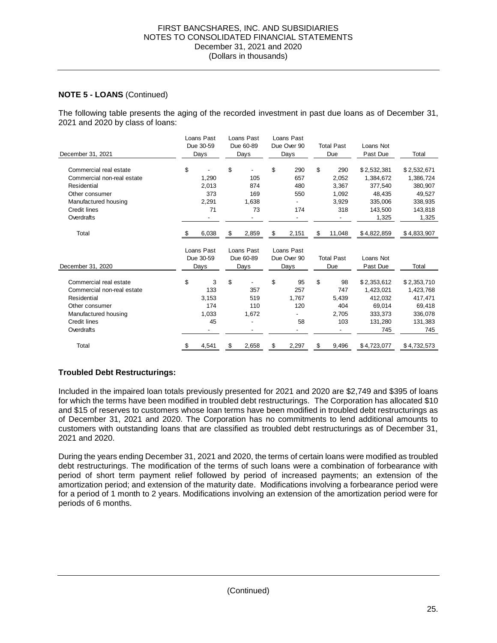The following table presents the aging of the recorded investment in past due loans as of December 31, 2021 and 2020 by class of loans:

| Loans Past<br>Loans Past<br>Due 30-59<br>Due 60-89 |     |            |    | Loans Past |             |             |                   |                   |             |             |
|----------------------------------------------------|-----|------------|----|------------|-------------|-------------|-------------------|-------------------|-------------|-------------|
|                                                    |     |            |    |            |             | Due Over 90 | <b>Total Past</b> |                   | Loans Not   |             |
| December 31, 2021                                  |     | Days       |    | Days       |             | Days        | Due               |                   | Past Due    | Total       |
| Commercial real estate                             | \$  |            | \$ |            | \$          | 290         | \$                | 290               | \$2,532,381 | \$2,532,671 |
| Commercial non-real estate                         |     | 1,290      |    | 105        |             | 657         |                   | 2,052             | 1,384,672   | 1,386,724   |
| Residential                                        |     | 2,013      |    | 874        |             | 480         |                   | 3,367             | 377,540     | 380,907     |
| Other consumer                                     |     | 373        |    | 169        |             | 550         |                   | 1,092             | 48,435      | 49,527      |
| Manufactured housing                               |     | 2,291      |    | 1,638      |             |             |                   | 3,929             | 335,006     | 338,935     |
| Credit lines                                       |     | 71         |    | 73         |             | 174         |                   | 318               | 143.500     | 143,818     |
| Overdrafts                                         |     |            |    |            |             |             |                   |                   | 1,325       | 1,325       |
| Total                                              | \$. | 6,038      | \$ | 2,859      | \$          | 2,151       | \$                | 11,048            | \$4,822,859 | \$4,833,907 |
|                                                    |     | Loans Past |    | Loans Past |             | Loans Past  |                   |                   |             |             |
|                                                    |     | Due 30-59  |    | Due 60-89  |             | Due Over 90 |                   | <b>Total Past</b> | Loans Not   |             |
| December 31, 2020                                  |     | Days       |    | Days       | <b>Days</b> |             | Due               |                   | Past Due    | Total       |
| Commercial real estate                             | \$  | 3          | \$ |            | \$          | 95          | \$                | 98                | \$2,353,612 | \$2,353,710 |
| Commercial non-real estate                         |     | 133        |    | 357        |             | 257         |                   | 747               | 1,423,021   | 1,423,768   |
| Residential                                        |     | 3,153      |    | 519        |             | 1,767       |                   | 5,439             | 412,032     | 417,471     |
| Other consumer                                     |     | 174        |    | 110        |             | 120         |                   | 404               | 69,014      | 69,418      |
| Manufactured housing                               |     | 1,033      |    | 1,672      |             |             |                   | 2,705             | 333,373     | 336,078     |
| Credit lines                                       |     | 45         |    |            |             | 58          |                   | 103               | 131,280     | 131,383     |
| Overdrafts                                         |     |            |    |            |             |             |                   |                   | 745         | 745         |
| Total                                              | \$  | 4,541      | S  | 2,658      | \$          | 2,297       | \$                | 9,496             | \$4,723,077 | \$4,732,573 |

#### **Troubled Debt Restructurings:**

 Included in the impaired loan totals previously presented for 2021 and 2020 are \$2,749 and \$395 of loans for which the terms have been modified in troubled debt restructurings. The Corporation has allocated \$10 and \$15 of reserves to customers whose loan terms have been modified in troubled debt restructurings as of December 31, 2021 and 2020. The Corporation has no commitments to lend additional amounts to customers with outstanding loans that are classified as troubled debt restructurings as of December 31, 2021 and 2020.

 During the years ending December 31, 2021 and 2020, the terms of certain loans were modified as troubled debt restructurings. The modification of the terms of such loans were a combination of forbearance with period of short term payment relief followed by period of increased payments; an extension of the amortization period; and extension of the maturity date. Modifications involving a forbearance period were for a period of 1 month to 2 years. Modifications involving an extension of the amortization period were for periods of 6 months.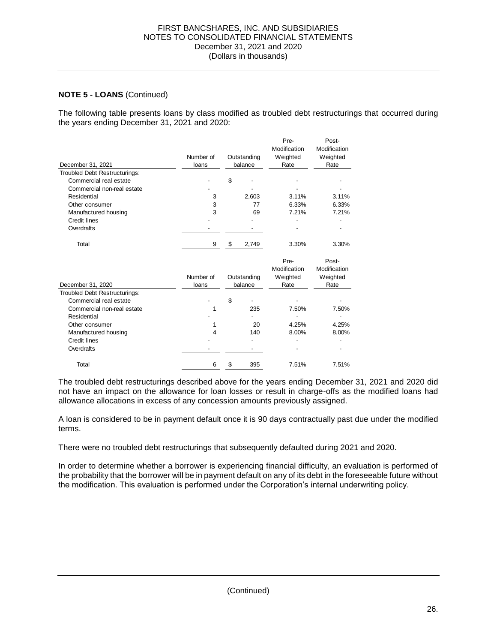The following table presents loans by class modified as troubled debt restructurings that occurred during the years ending December 31, 2021 and 2020:

|                               |           |    |             | Pre-             | Post-            |
|-------------------------------|-----------|----|-------------|------------------|------------------|
|                               |           |    |             | Modification     | Modification     |
|                               | Number of |    | Outstanding | Weighted         | Weighted         |
| December 31, 2021             | loans     |    | balance     | Rate             | Rate             |
| Troubled Debt Restructurings: |           |    |             |                  |                  |
| Commercial real estate        |           | \$ |             |                  |                  |
| Commercial non-real estate    |           |    |             |                  |                  |
| Residential                   | 3         |    | 2,603       | 3.11%            | 3.11%            |
| Other consumer                | 3         |    | 77          | 6.33%            | 6.33%            |
| Manufactured housing          | 3         |    | 69          | 7.21%            | 7.21%            |
| Credit lines                  |           |    |             |                  |                  |
| Overdrafts                    |           |    |             |                  |                  |
|                               |           |    |             |                  |                  |
| Total                         | 9         | \$ | 2,749       | 3.30%            | 3.30%            |
|                               |           |    |             |                  |                  |
|                               |           |    |             | Pre-             | Post-            |
|                               |           |    |             | Modification     | Modification     |
|                               | Number of |    | Outstanding |                  |                  |
| December 31, 2020             | loans     |    | balance     | Weighted<br>Rate | Weighted<br>Rate |
| Troubled Debt Restructurings: |           |    |             |                  |                  |
| Commercial real estate        |           | \$ |             |                  |                  |
| Commercial non-real estate    | 1         |    | 235         | 7.50%            | 7.50%            |
| Residential                   |           |    |             |                  |                  |
| Other consumer                | 1         |    | 20          | 4.25%            | 4.25%            |
| Manufactured housing          | 4         |    | 140         | 8.00%            | 8.00%            |
| Credit lines                  |           |    |             |                  |                  |
| Overdrafts                    |           |    |             |                  |                  |
| Total                         | 6         | S  | 395         | 7.51%            | 7.51%            |

 The troubled debt restructurings described above for the years ending December 31, 2021 and 2020 did not have an impact on the allowance for loan losses or result in charge-offs as the modified loans had allowance allocations in excess of any concession amounts previously assigned.

 A loan is considered to be in payment default once it is 90 days contractually past due under the modified terms.

There were no troubled debt restructurings that subsequently defaulted during 2021 and 2020.

 In order to determine whether a borrower is experiencing financial difficulty, an evaluation is performed of the probability that the borrower will be in payment default on any of its debt in the foreseeable future without the modification. This evaluation is performed under the Corporation's internal underwriting policy.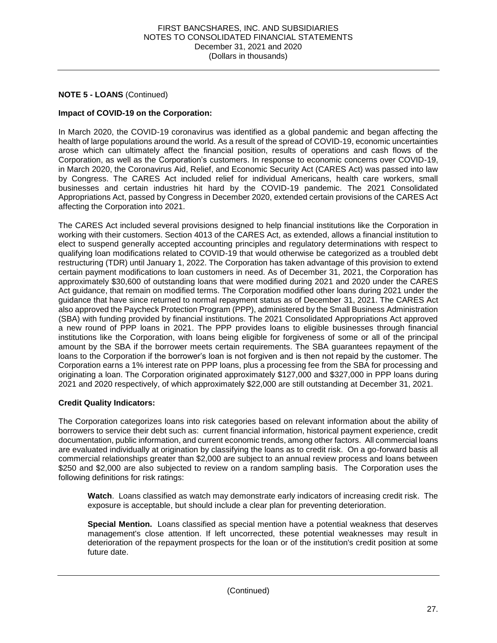#### **Impact of COVID-19 on the Corporation:**

 In March 2020, the COVID-19 coronavirus was identified as a global pandemic and began affecting the health of large populations around the world. As a result of the spread of COVID-19, economic uncertainties arose which can ultimately affect the financial position, results of operations and cash flows of the Corporation, as well as the Corporation's customers. In response to economic concerns over COVID-19, in March 2020, the Coronavirus Aid, Relief, and Economic Security Act (CARES Act) was passed into law by Congress. The CARES Act included relief for individual Americans, health care workers, small businesses and certain industries hit hard by the COVID-19 pandemic. The 2021 Consolidated Appropriations Act, passed by Congress in December 2020, extended certain provisions of the CARES Act affecting the Corporation into 2021.

 The CARES Act included several provisions designed to help financial institutions like the Corporation in working with their customers. Section 4013 of the CARES Act, as extended, allows a financial institution to elect to suspend generally accepted accounting principles and regulatory determinations with respect to qualifying loan modifications related to COVID-19 that would otherwise be categorized as a troubled debt restructuring (TDR) until January 1, 2022. The Corporation has taken advantage of this provision to extend certain payment modifications to loan customers in need. As of December 31, 2021, the Corporation has approximately \$30,600 of outstanding loans that were modified during 2021 and 2020 under the CARES Act guidance, that remain on modified terms. The Corporation modified other loans during 2021 under the guidance that have since returned to normal repayment status as of December 31, 2021. The CARES Act also approved the Paycheck Protection Program (PPP), administered by the Small Business Administration (SBA) with funding provided by financial institutions. The 2021 Consolidated Appropriations Act approved a new round of PPP loans in 2021. The PPP provides loans to eligible businesses through financial institutions like the Corporation, with loans being eligible for forgiveness of some or all of the principal amount by the SBA if the borrower meets certain requirements. The SBA guarantees repayment of the loans to the Corporation if the borrower's loan is not forgiven and is then not repaid by the customer. The Corporation earns a 1% interest rate on PPP loans, plus a processing fee from the SBA for processing and originating a loan. The Corporation originated approximately \$127,000 and \$327,000 in PPP loans during 2021 and 2020 respectively, of which approximately \$22,000 are still outstanding at December 31, 2021.

#### **Credit Quality Indicators:**

 The Corporation categorizes loans into risk categories based on relevant information about the ability of borrowers to service their debt such as: current financial information, historical payment experience, credit documentation, public information, and current economic trends, among other factors. All commercial loans commercial relationships greater than \$2,000 are subject to an annual review process and loans between \$250 and \$2,000 are also subjected to review on a random sampling basis. The Corporation uses the following definitions for risk ratings: are evaluated individually at origination by classifying the loans as to credit risk. On a go-forward basis all

 exposure is acceptable, but should include a clear plan for preventing deterioration. **Watch**. Loans classified as watch may demonstrate early indicators of increasing credit risk. The

 **Special Mention.** Loans classified as special mention have a potential weakness that deserves management's close attention. If left uncorrected, these potential weaknesses may result in deterioration of the repayment prospects for the loan or of the institution's credit position at some future date.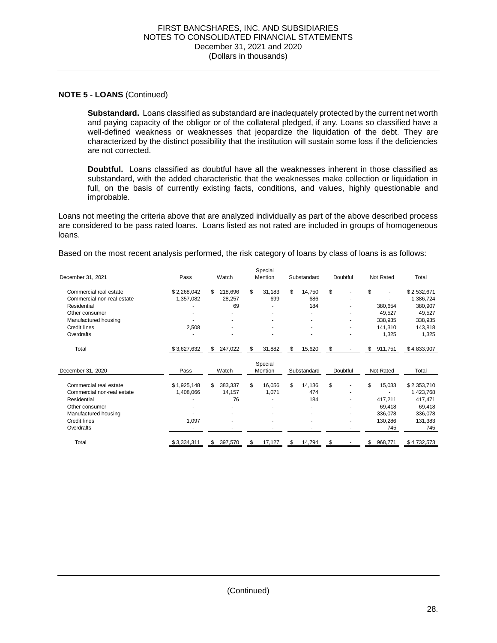**Substandard.** Loans classified as substandard are inadequately protected by the current net worth and paying capacity of the obligor or of the collateral pledged, if any. Loans so classified have a well-defined weakness or weaknesses that jeopardize the liquidation of the debt. They are characterized by the distinct possibility that the institution will sustain some loss if the deficiencies are not corrected.

 **Doubtful.** Loans classified as doubtful have all the weaknesses inherent in those classified as substandard, with the added characteristic that the weaknesses make collection or liquidation in full, on the basis of currently existing facts, conditions, and values, highly questionable and improbable.

 are considered to be pass rated loans. Loans listed as not rated are included in groups of homogeneous Loans not meeting the criteria above that are analyzed individually as part of the above described process loans.

Based on the most recent analysis performed, the risk category of loans by class of loans is as follows:

|                            |             |               | Special      |                          |                                |               |             |
|----------------------------|-------------|---------------|--------------|--------------------------|--------------------------------|---------------|-------------|
| December 31, 2021          | Pass        | Watch         | Mention      | Substandard              | Doubtful                       | Not Rated     | Total       |
| Commercial real estate     | \$2,268,042 | 218,696<br>\$ | \$<br>31,183 | \$<br>14,750             | \$                             | \$            | \$2,532,671 |
| Commercial non-real estate | 1,357,082   | 28,257        | 699          | 686                      | ۰                              |               | 1,386,724   |
| Residential                |             | 69            |              | 184                      | ٠                              | 380,654       | 380,907     |
| Other consumer             |             |               | ۰            |                          | ۰                              | 49,527        | 49,527      |
| Manufactured housing       |             |               | ٠            |                          |                                | 338,935       | 338,935     |
| Credit lines               | 2,508       | ٠             | ٠            | $\overline{\phantom{a}}$ | ۰                              | 141,310       | 143,818     |
| Overdrafts                 |             |               |              |                          | ٠                              | 1,325         | 1,325       |
| Total                      | \$3,627,632 | 247,022<br>\$ | \$<br>31,882 | \$<br>15,620             | \$<br>$\overline{\phantom{a}}$ | \$911,751     | \$4,833,907 |
|                            |             |               | Special      |                          |                                |               |             |
| December 31, 2020          | Pass        | Watch         | Mention      | Substandard              | Doubtful                       | Not Rated     | Total       |
| Commercial real estate     | \$1,925,148 | \$<br>383,337 | \$<br>16,056 | \$<br>14,136             | \$<br>٠                        | \$<br>15,033  | \$2,353,710 |
| Commercial non-real estate | 1,408,066   | 14,157        | 1,071        | 474                      | ٠                              |               | 1,423,768   |
| Residential                |             | 76            | ٠            | 184                      | ۰                              | 417,211       | 417,471     |
| Other consumer             |             |               |              |                          |                                | 69,418        | 69,418      |
| Manufactured housing       |             |               |              |                          |                                | 336,078       | 336,078     |
| <b>Credit lines</b>        | 1,097       |               |              |                          | ٠                              | 130,286       | 131,383     |
| Overdrafts                 |             |               |              |                          |                                | 745           | 745         |
| Total                      | \$3,334,311 | 397,570<br>\$ | 17,127<br>\$ | 14,794<br>S              | £.                             | \$<br>968,771 | \$4,732,573 |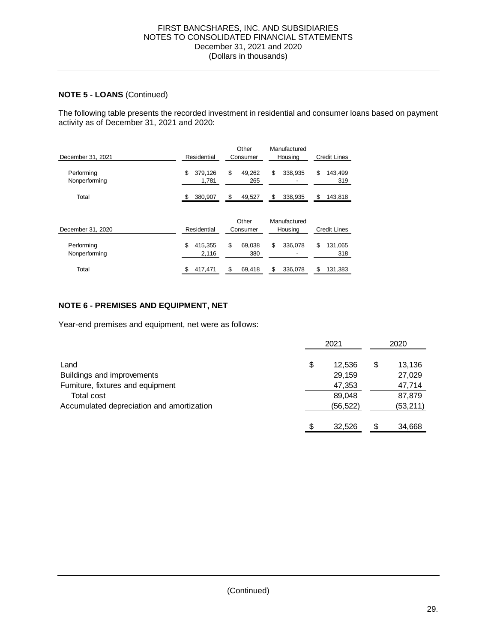The following table presents the recorded investment in residential and consumer loans based on payment activity as of December 31, 2021 and 2020:

| December 31, 2021           | Residential            | Other<br>Consumer   | Manufactured<br>Housing | Credit Lines         |
|-----------------------------|------------------------|---------------------|-------------------------|----------------------|
| Performing<br>Nonperforming | \$<br>379,126<br>1,781 | \$<br>49.262<br>265 | \$<br>338,935           | \$<br>143,499<br>319 |
| Total                       | 380,907<br>S.          | \$<br>49,527        | \$<br>338,935           | \$<br>143,818        |
| December 31, 2020           | Residential            | Other<br>Consumer   | Manufactured<br>Housing | <b>Credit Lines</b>  |
| Performing<br>Nonperforming | \$<br>415,355<br>2,116 | \$<br>69.038<br>380 | \$<br>336,078<br>-      | \$<br>131,065<br>318 |
| Total                       | 417,471                | 69,418<br>\$.       | \$<br>336,078           | 131,383              |

#### **NOTE 6 - PREMISES AND EQUIPMENT, NET**

Year-end premises and equipment, net were as follows:

|                                           | 2021         |    | 2020      |
|-------------------------------------------|--------------|----|-----------|
| Land                                      | \$<br>12,536 | \$ | 13,136    |
| Buildings and improvements                | 29,159       |    | 27,029    |
| Furniture, fixtures and equipment         | 47,353       |    | 47,714    |
| Total cost                                | 89,048       |    | 87,879    |
| Accumulated depreciation and amortization | (56, 522)    |    | (53, 211) |
|                                           |              |    |           |
|                                           | 32.526       | \$ | 34,668    |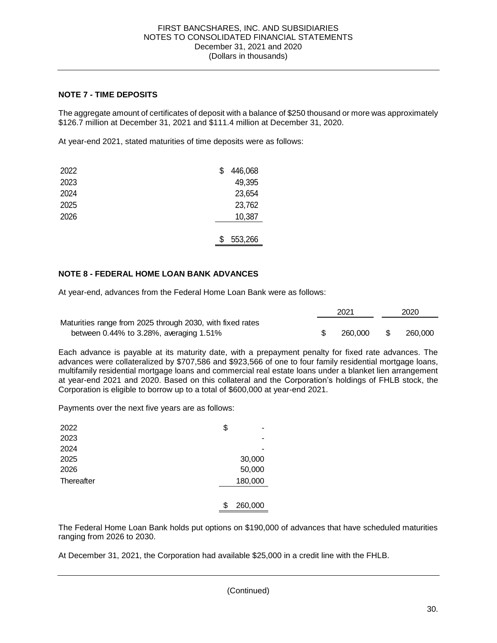#### **NOTE 7 - TIME DEPOSITS**

 The aggregate amount of certificates of deposit with a balance of \$250 thousand or more was approximately \$126.7 million at December 31, 2021 and \$111.4 million at December 31, 2020.

At year-end 2021, stated maturities of time deposits were as follows:

| 2022 | \$ | 446,068 |
|------|----|---------|
| 2023 |    | 49,395  |
| 2024 |    | 23,654  |
| 2025 |    | 23,762  |
| 2026 |    | 10,387  |
|      |    |         |
|      | S  | 553,266 |

#### **NOTE 8 - FEDERAL HOME LOAN BANK ADVANCES**

At year-end, advances from the Federal Home Loan Bank were as follows:

|                                                           | 2021    | 2020    |
|-----------------------------------------------------------|---------|---------|
| Maturities range from 2025 through 2030, with fixed rates |         |         |
| between $0.44\%$ to 3.28%, averaging 1.51%                | 260,000 | 260,000 |

 Each advance is payable at its maturity date, with a prepayment penalty for fixed rate advances. The advances were collateralized by \$707,586 and \$923,566 of one to four family residential mortgage loans, multifamily residential mortgage loans and commercial real estate loans under a blanket lien arrangement at year-end 2021 and 2020. Based on this collateral and the Corporation's holdings of FHLB stock, the Corporation is eligible to borrow up to a total of \$600,000 at year-end 2021.

Payments over the next five years are as follows:

| 2022       | \$            |
|------------|---------------|
| 2023       |               |
| 2024       |               |
| 2025       | 30,000        |
| 2026       | 50,000        |
| Thereafter | 180,000       |
|            |               |
|            | \$<br>260,000 |

 The Federal Home Loan Bank holds put options on \$190,000 of advances that have scheduled maturities ranging from 2026 to 2030.

At December 31, 2021, the Corporation had available \$25,000 in a credit line with the FHLB.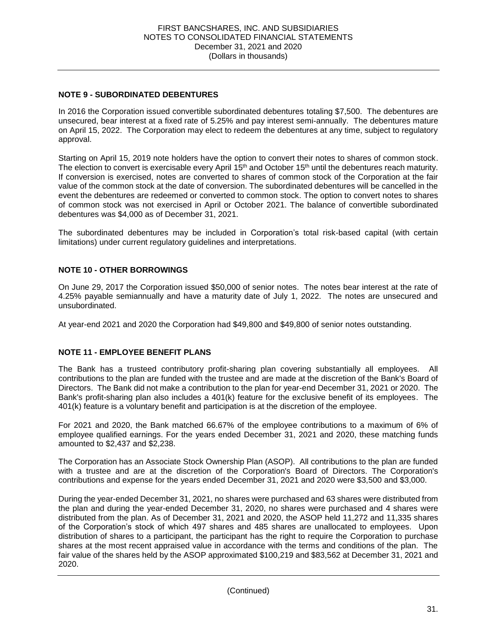#### **NOTE 9 - SUBORDINATED DEBENTURES**

 In 2016 the Corporation issued convertible subordinated debentures totaling \$7,500. The debentures are unsecured, bear interest at a fixed rate of 5.25% and pay interest semi-annually. The debentures mature on April 15, 2022. The Corporation may elect to redeem the debentures at any time, subject to regulatory approval.

 Starting on April 15, 2019 note holders have the option to convert their notes to shares of common stock. The election to convert is exercisable every April 15<sup>th</sup> and October 15<sup>th</sup> until the debentures reach maturity. If conversion is exercised, notes are converted to shares of common stock of the Corporation at the fair value of the common stock at the date of conversion. The subordinated debentures will be cancelled in the event the debentures are redeemed or converted to common stock. The option to convert notes to shares of common stock was not exercised in April or October 2021. The balance of convertible subordinated debentures was \$4,000 as of December 31, 2021.

 The subordinated debentures may be included in Corporation's total risk-based capital (with certain limitations) under current regulatory guidelines and interpretations.

#### **NOTE 10 - OTHER BORROWINGS**

 On June 29, 2017 the Corporation issued \$50,000 of senior notes. The notes bear interest at the rate of 4.25% payable semiannually and have a maturity date of July 1, 2022. The notes are unsecured and unsubordinated.

At year-end 2021 and 2020 the Corporation had \$49,800 and \$49,800 of senior notes outstanding.

#### **NOTE 11 - EMPLOYEE BENEFIT PLANS**

 The Bank has a trusteed contributory profit-sharing plan covering substantially all employees. All contributions to the plan are funded with the trustee and are made at the discretion of the Bank's Board of Directors. The Bank did not make a contribution to the plan for year-end December 31, 2021 or 2020. The Bank's profit-sharing plan also includes a 401(k) feature for the exclusive benefit of its employees. The 401(k) feature is a voluntary benefit and participation is at the discretion of the employee.

 For 2021 and 2020, the Bank matched 66.67% of the employee contributions to a maximum of 6% of employee qualified earnings. For the years ended December 31, 2021 and 2020, these matching funds amounted to \$2,437 and \$2,238.

 with a trustee and are at the discretion of the Corporation's Board of Directors. The Corporation's contributions and expense for the years ended December 31, 2021 and 2020 were \$3,500 and \$3,000. The Corporation has an Associate Stock Ownership Plan (ASOP). All contributions to the plan are funded

 During the year-ended December 31, 2021, no shares were purchased and 63 shares were distributed from the plan and during the year-ended December 31, 2020, no shares were purchased and 4 shares were distributed from the plan. As of December 31, 2021 and 2020, the ASOP held 11,272 and 11,335 shares of the Corporation's stock of which 497 shares and 485 shares are unallocated to employees. Upon distribution of shares to a participant, the participant has the right to require the Corporation to purchase shares at the most recent appraised value in accordance with the terms and conditions of the plan. The fair value of the shares held by the ASOP approximated \$100,219 and \$83,562 at December 31, 2021 and 2020.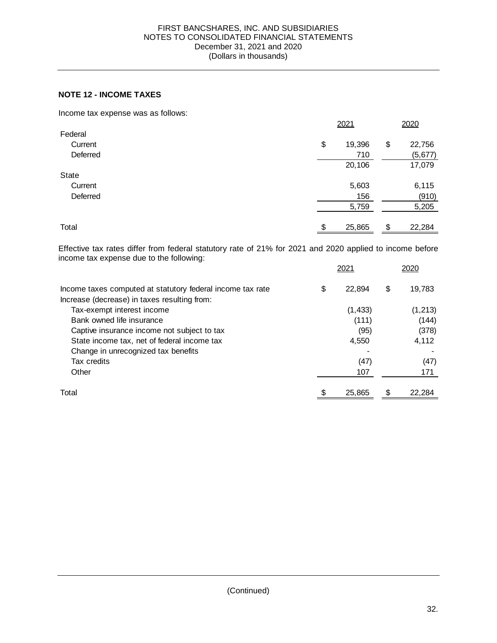#### **NOTE 12 - INCOME TAXES**

Income tax expense was as follows:

|          | 2021         | 2020         |
|----------|--------------|--------------|
| Federal  |              |              |
| Current  | \$<br>19,396 | \$<br>22,756 |
| Deferred | 710          | (5, 677)     |
|          | 20,106       | 17,079       |
| State    |              |              |
| Current  | 5,603        | 6,115        |
| Deferred | 156          | (910)        |
|          | 5,759        | 5,205        |
| Total    | \$<br>25,865 | 22,284<br>\$ |
|          |              |              |

 Effective tax rates differ from federal statutory rate of 21% for 2021 and 2020 applied to income before income tax expense due to the following:

|                                                            | 2021         | 2020         |
|------------------------------------------------------------|--------------|--------------|
| Income taxes computed at statutory federal income tax rate | \$<br>22.894 | \$<br>19,783 |
| Increase (decrease) in taxes resulting from:               |              |              |
| Tax-exempt interest income                                 | (1, 433)     | (1, 213)     |
| Bank owned life insurance                                  | (111)        | (144)        |
| Captive insurance income not subject to tax                | (95)         | (378)        |
| State income tax, net of federal income tax                | 4,550        | 4,112        |
| Change in unrecognized tax benefits                        |              |              |
| Tax credits                                                | (47)         | (47)         |
| Other                                                      | 107          | 171          |
| Total                                                      | 25,865       | 22,284       |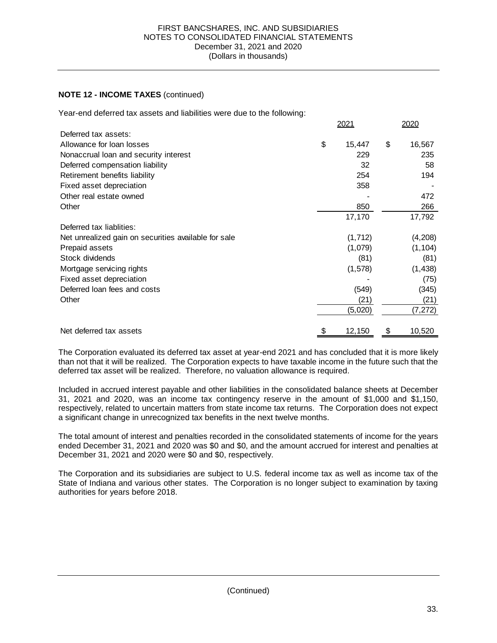#### **NOTE 12 - INCOME TAXES** (continued)

Year-end deferred tax assets and liabilities were due to the following:

|                                                      | 2021         | 2020         |
|------------------------------------------------------|--------------|--------------|
| Deferred tax assets:                                 |              |              |
| Allowance for loan losses                            | \$<br>15,447 | \$<br>16,567 |
| Nonaccrual loan and security interest                | 229          | 235          |
| Deferred compensation liability                      | 32           | 58           |
| Retirement benefits liability                        | 254          | 194          |
| Fixed asset depreciation                             | 358          |              |
| Other real estate owned                              |              | 472          |
| Other                                                | 850          | 266          |
|                                                      | 17,170       | 17,792       |
| Deferred tax liablities:                             |              |              |
| Net unrealized gain on securities available for sale | (1,712)      | (4,208)      |
| Prepaid assets                                       | (1,079)      | (1, 104)     |
| Stock dividends                                      | (81)         | (81)         |
| Mortgage servicing rights                            | (1,578)      | (1, 438)     |
| Fixed asset depreciation                             |              | (75)         |
| Deferred loan fees and costs                         | (549)        | (345)        |
| Other                                                | (21)         | (21)         |
|                                                      | (5,020)      | (7, 272)     |
| Net deferred tax assets                              | \$<br>12,150 | \$<br>10,520 |

 The Corporation evaluated its deferred tax asset at year-end 2021 and has concluded that it is more likely than not that it will be realized. The Corporation expects to have taxable income in the future such that the deferred tax asset will be realized. Therefore, no valuation allowance is required.

 Included in accrued interest payable and other liabilities in the consolidated balance sheets at December 31, 2021 and 2020, was an income tax contingency reserve in the amount of \$1,000 and \$1,150, respectively, related to uncertain matters from state income tax returns. The Corporation does not expect a significant change in unrecognized tax benefits in the next twelve months.

 ended December 31, 2021 and 2020 was \$0 and \$0, and the amount accrued for interest and penalties at December 31, 2021 and 2020 were \$0 and \$0, respectively. The total amount of interest and penalties recorded in the consolidated statements of income for the years

 The Corporation and its subsidiaries are subject to U.S. federal income tax as well as income tax of the State of Indiana and various other states. The Corporation is no longer subject to examination by taxing authorities for years before 2018.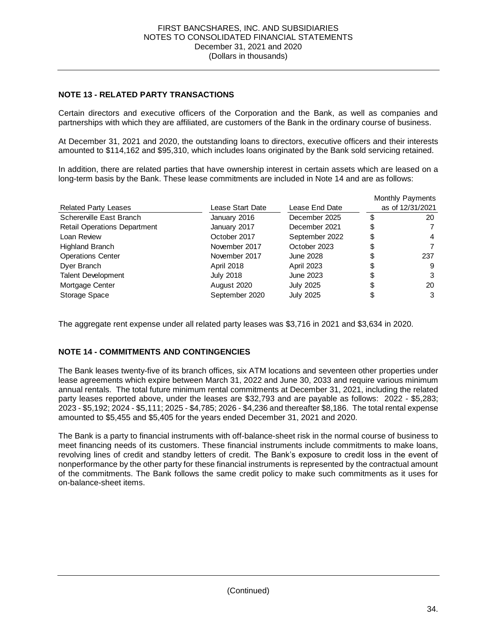#### **NOTE 13 - RELATED PARTY TRANSACTIONS**

 Certain directors and executive officers of the Corporation and the Bank, as well as companies and partnerships with which they are affiliated, are customers of the Bank in the ordinary course of business.

 At December 31, 2021 and 2020, the outstanding loans to directors, executive officers and their interests amounted to \$114,162 and \$95,310, which includes loans originated by the Bank sold servicing retained.

 In addition, there are related parties that have ownership interest in certain assets which are leased on a long-term basis by the Bank. These lease commitments are included in Note 14 and are as follows:

|                                     |                  |                   | Monthly Payments |
|-------------------------------------|------------------|-------------------|------------------|
| <b>Related Party Leases</b>         | Lease Start Date | Lease End Date    | as of 12/31/2021 |
| Schererville East Branch            | January 2016     | December 2025     | \$<br>20         |
| <b>Retail Operations Department</b> | January 2017     | December 2021     | \$               |
| Loan Review                         | October 2017     | September 2022    | \$<br>4          |
| <b>Highland Branch</b>              | November 2017    | October 2023      | \$               |
| <b>Operations Center</b>            | November 2017    | June 2028         | 237              |
| Dyer Branch                         | April 2018       | <b>April 2023</b> | 9                |
| <b>Talent Development</b>           | <b>July 2018</b> | June 2023         | 3                |
| Mortgage Center                     | August 2020      | <b>July 2025</b>  | 20               |
| Storage Space                       | September 2020   | <b>July 2025</b>  | \$<br>3          |

The aggregate rent expense under all related party leases was \$3,716 in 2021 and \$3,634 in 2020.

#### **NOTE 14 - COMMITMENTS AND CONTINGENCIES**

 The Bank leases twenty-five of its branch offices, six ATM locations and seventeen other properties under lease agreements which expire between March 31, 2022 and June 30, 2033 and require various minimum party leases reported above, under the leases are \$32,793 and are payable as follows: 2022 - \$5,283; 2023 - \$5,192; 2024 - \$5,111; 2025 - \$4,785; 2026 - \$4,236 and thereafter \$8,186. The total rental expense amounted to \$5,455 and \$5,405 for the years ended December 31, 2021 and 2020. annual rentals. The total future minimum rental commitments at December 31, 2021, including the related

 meet financing needs of its customers. These financial instruments include commitments to make loans, revolving lines of credit and standby letters of credit. The Bank's exposure to credit loss in the event of nonperformance by the other party for these financial instruments is represented by the contractual amount of the commitments. The Bank follows the same credit policy to make such commitments as it uses for The Bank is a party to financial instruments with off-balance-sheet risk in the normal course of business to on-balance-sheet items.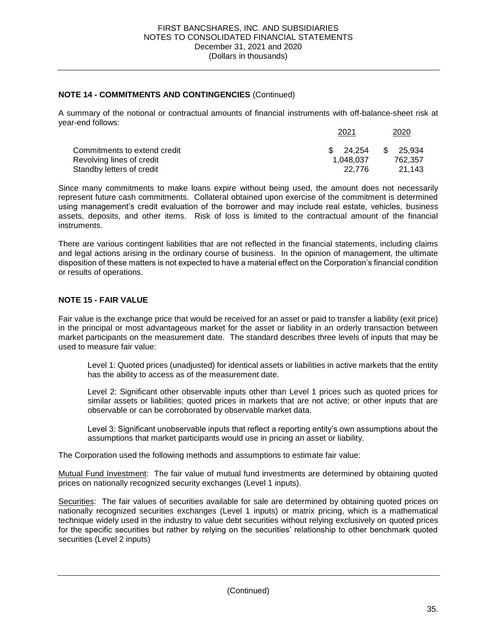#### **NOTE 14 - COMMITMENTS AND CONTINGENCIES** (Continued)

 A summary of the notional or contractual amounts of financial instruments with off-balance-sheet risk at year-end follows:

|                              | 2021      | 2020          |
|------------------------------|-----------|---------------|
| Commitments to extend credit | \$24.254  | 25.934<br>\$. |
| Revolving lines of credit    | 1.048.037 | 762.357       |
| Standby letters of credit    | 22.776    | 21.143        |

 Since many commitments to make loans expire without being used, the amount does not necessarily represent future cash commitments. Collateral obtained upon exercise of the commitment is determined using management's credit evaluation of the borrower and may include real estate, vehicles, business assets, deposits, and other items. Risk of loss is limited to the contractual amount of the financial instruments.

 and legal actions arising in the ordinary course of business. In the opinion of management, the ultimate disposition of these matters is not expected to have a material effect on the Corporation's financial condition There are various contingent liabilities that are not reflected in the financial statements, including claims or results of operations.

#### **NOTE 15 - FAIR VALUE**

 Fair value is the exchange price that would be received for an asset or paid to transfer a liability (exit price) in the principal or most advantageous market for the asset or liability in an orderly transaction between market participants on the measurement date. The standard describes three levels of inputs that may be used to measure fair value:

 Level 1: Quoted prices (unadjusted) for identical assets or liabilities in active markets that the entity has the ability to access as of the measurement date.

 Level 2: Significant other observable inputs other than Level 1 prices such as quoted prices for similar assets or liabilities; quoted prices in markets that are not active; or other inputs that are observable or can be corroborated by observable market data.

 Level 3: Significant unobservable inputs that reflect a reporting entity's own assumptions about the assumptions that market participants would use in pricing an asset or liability.

The Corporation used the following methods and assumptions to estimate fair value:

Mutual Fund Investment: The fair value of mutual fund investments are determined by obtaining quoted prices on nationally recognized security exchanges (Level 1 inputs).

Securities: The fair values of securities available for sale are determined by obtaining quoted prices on nationally recognized securities exchanges (Level 1 inputs) or matrix pricing, which is a mathematical technique widely used in the industry to value debt securities without relying exclusively on quoted prices for the specific securities but rather by relying on the securities' relationship to other benchmark quoted securities (Level 2 inputs)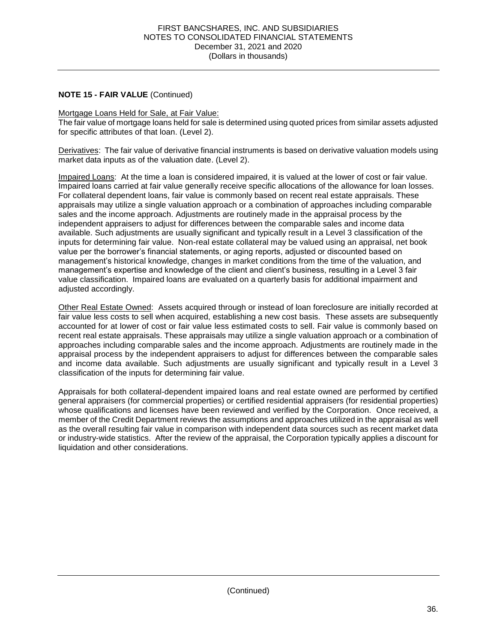#### Mortgage Loans Held for Sale, at Fair Value:

 The fair value of mortgage loans held for sale is determined using quoted prices from similar assets adjusted for specific attributes of that loan. (Level 2).

Derivatives: The fair value of derivative financial instruments is based on derivative valuation models using market data inputs as of the valuation date. (Level 2).

 management's expertise and knowledge of the client and client's business, resulting in a Level 3 fair Impaired Loans: At the time a loan is considered impaired, it is valued at the lower of cost or fair value. Impaired loans carried at fair value generally receive specific allocations of the allowance for loan losses. For collateral dependent loans, fair value is commonly based on recent real estate appraisals. These appraisals may utilize a single valuation approach or a combination of approaches including comparable sales and the income approach. Adjustments are routinely made in the appraisal process by the independent appraisers to adjust for differences between the comparable sales and income data available. Such adjustments are usually significant and typically result in a Level 3 classification of the inputs for determining fair value. Non-real estate collateral may be valued using an appraisal, net book value per the borrower's financial statements, or aging reports, adjusted or discounted based on management's historical knowledge, changes in market conditions from the time of the valuation, and value classification. Impaired loans are evaluated on a quarterly basis for additional impairment and adjusted accordingly.

Other Real Estate Owned: Assets acquired through or instead of loan foreclosure are initially recorded at fair value less costs to sell when acquired, establishing a new cost basis. These assets are subsequently accounted for at lower of cost or fair value less estimated costs to sell. Fair value is commonly based on recent real estate appraisals. These appraisals may utilize a single valuation approach or a combination of approaches including comparable sales and the income approach. Adjustments are routinely made in the appraisal process by the independent appraisers to adjust for differences between the comparable sales and income data available. Such adjustments are usually significant and typically result in a Level 3 classification of the inputs for determining fair value.

 Appraisals for both collateral-dependent impaired loans and real estate owned are performed by certified general appraisers (for commercial properties) or certified residential appraisers (for residential properties) whose qualifications and licenses have been reviewed and verified by the Corporation. Once received, a member of the Credit Department reviews the assumptions and approaches utilized in the appraisal as well as the overall resulting fair value in comparison with independent data sources such as recent market data or industry-wide statistics. After the review of the appraisal, the Corporation typically applies a discount for liquidation and other considerations.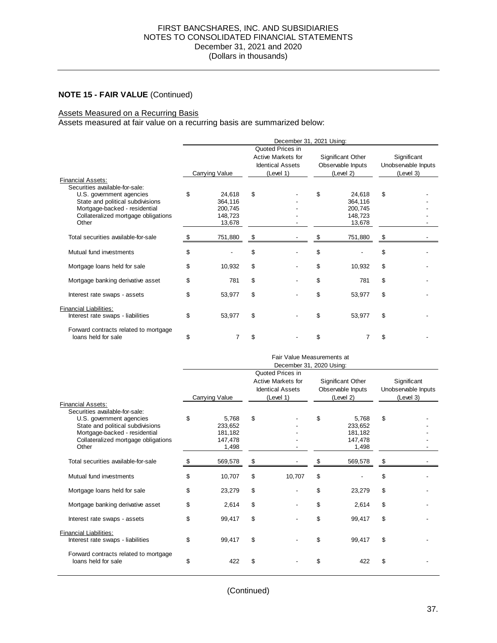#### Į. Assets Measured on a Recurring Basis

Assets measured at fair value on a recurring basis are summarized below:

|                                                                                                                                               | December 31, 2021 Using: |                                                   |                                                                                |  |                                                     |                                                   |                                                 |  |  |
|-----------------------------------------------------------------------------------------------------------------------------------------------|--------------------------|---------------------------------------------------|--------------------------------------------------------------------------------|--|-----------------------------------------------------|---------------------------------------------------|-------------------------------------------------|--|--|
|                                                                                                                                               | Carrying Value           |                                                   | Quoted Prices in<br>Active Markets for<br><b>Identical Assets</b><br>(Level 1) |  | Significant Other<br>Observable Inputs<br>(Level 2) |                                                   | Significant<br>Unobservable Inputs<br>(Level 3) |  |  |
| <b>Financial Assets:</b><br>Securities available-for-sale:                                                                                    |                          |                                                   |                                                                                |  |                                                     |                                                   |                                                 |  |  |
| U.S. government agencies<br>State and political subdivisions<br>Mortgage-backed - residential<br>Collateralized mortgage obligations<br>Other | \$                       | 24.618<br>364,116<br>200,745<br>148,723<br>13,678 | \$                                                                             |  | \$                                                  | 24,618<br>364,116<br>200,745<br>148.723<br>13,678 | \$                                              |  |  |
| Total securities available-for-sale                                                                                                           | S                        | 751,880                                           | \$                                                                             |  | S                                                   | 751,880                                           | \$                                              |  |  |
| Mutual fund investments                                                                                                                       | \$                       |                                                   | \$                                                                             |  | \$                                                  |                                                   | \$                                              |  |  |
| Mortgage loans held for sale                                                                                                                  | \$                       | 10,932                                            | \$                                                                             |  | \$                                                  | 10,932                                            | \$                                              |  |  |
| Mortgage banking derivative asset                                                                                                             | \$                       | 781                                               | \$                                                                             |  | \$                                                  | 781                                               | \$                                              |  |  |
| Interest rate swaps - assets                                                                                                                  | \$                       | 53,977                                            | \$                                                                             |  | \$                                                  | 53,977                                            | \$                                              |  |  |
| <b>Financial Liabilities:</b><br>Interest rate swaps - liabilities                                                                            | \$                       | 53,977                                            | \$                                                                             |  | \$                                                  | 53,977                                            | \$                                              |  |  |
| Forward contracts related to mortgage<br>loans held for sale                                                                                  | \$                       |                                                   | \$                                                                             |  | \$                                                  |                                                   | \$                                              |  |  |

|                                                                                                                                                                                                             | Fair Value Measurements at<br>December 31, 2020 Using: |                                                 |                                                                                       |        |                                                     |                                                 |                                                 |  |  |  |
|-------------------------------------------------------------------------------------------------------------------------------------------------------------------------------------------------------------|--------------------------------------------------------|-------------------------------------------------|---------------------------------------------------------------------------------------|--------|-----------------------------------------------------|-------------------------------------------------|-------------------------------------------------|--|--|--|
|                                                                                                                                                                                                             |                                                        | Carrying Value                                  | Quoted Prices in<br><b>Active Markets for</b><br><b>Identical Assets</b><br>(Level 1) |        | Significant Other<br>Observable Inputs<br>(Level 2) |                                                 | Significant<br>Unobservable Inputs<br>(Level 3) |  |  |  |
| <b>Financial Assets:</b><br>Securities available-for-sale:<br>U.S. government agencies<br>State and political subdivisions<br>Mortgage-backed - residential<br>Collateralized mortgage obligations<br>Other | \$                                                     | 5.768<br>233,652<br>181,182<br>147,478<br>1,498 | \$                                                                                    |        | \$                                                  | 5.768<br>233,652<br>181.182<br>147,478<br>1,498 | \$                                              |  |  |  |
| Total securities available-for-sale                                                                                                                                                                         | \$                                                     | 569,578                                         | \$                                                                                    |        |                                                     | 569,578                                         | \$                                              |  |  |  |
| Mutual fund investments                                                                                                                                                                                     | \$                                                     | 10,707                                          | \$                                                                                    | 10.707 | \$                                                  |                                                 | \$                                              |  |  |  |
| Mortgage loans held for sale                                                                                                                                                                                | \$                                                     | 23.279                                          | \$                                                                                    |        | \$                                                  | 23.279                                          | \$                                              |  |  |  |
| Mortgage banking derivative asset                                                                                                                                                                           | \$                                                     | 2,614                                           | \$                                                                                    |        | \$                                                  | 2,614                                           | \$                                              |  |  |  |
| Interest rate swaps - assets                                                                                                                                                                                | \$                                                     | 99,417                                          | \$                                                                                    |        | \$                                                  | 99,417                                          | \$                                              |  |  |  |
| <b>Financial Liabilities:</b><br>Interest rate swaps - liabilities                                                                                                                                          | \$                                                     | 99.417                                          | \$                                                                                    |        | \$                                                  | 99.417                                          | \$                                              |  |  |  |
| Forward contracts related to mortgage<br>loans held for sale                                                                                                                                                | \$                                                     | 422                                             | \$                                                                                    |        | \$                                                  | 422                                             | \$                                              |  |  |  |

(Continued)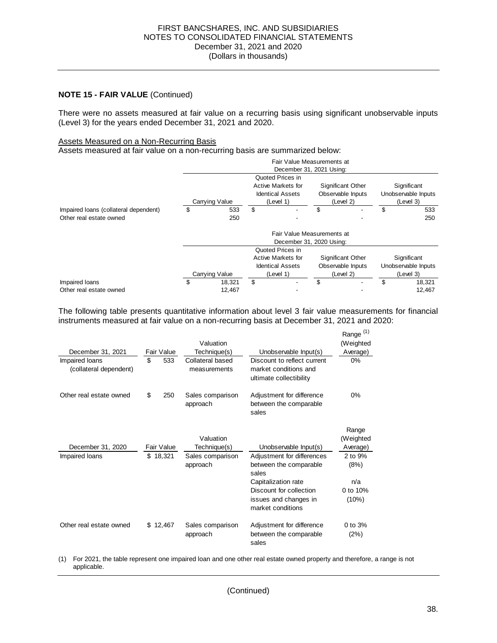There were no assets measured at fair value on a recurring basis using significant unobservable inputs (Level 3) for the years ended December 31, 2021 and 2020.<br>Assets Measured on a Non-Recurring Basis

#### **Assets Measured on a Non-Recurring Basis**

Assets measured at fair value on a non-recurring basis are summarized below:

|                                       | Fair Value Measurements at<br>December 31, 2021 Using: |                |                                                                                |                                      |                                                     |           |                                                 |           |  |
|---------------------------------------|--------------------------------------------------------|----------------|--------------------------------------------------------------------------------|--------------------------------------|-----------------------------------------------------|-----------|-------------------------------------------------|-----------|--|
|                                       | Carrying Value                                         |                | Quoted Prices in<br>Active Markets for<br><b>Identical Assets</b><br>(Level 1) |                                      | Significant Other<br>Observable Inputs<br>(Level 2) |           | Significant<br>Unobservable Inputs<br>(Level 3) |           |  |
| Impaired loans (collateral dependent) | \$                                                     | 533            | \$                                                                             |                                      | \$                                                  |           | \$                                              | 533       |  |
| Other real estate owned               |                                                        | 250            |                                                                                |                                      |                                                     |           |                                                 | 250       |  |
|                                       | Fair Value Measurements at<br>December 31, 2020 Using: |                |                                                                                |                                      |                                                     |           |                                                 |           |  |
|                                       |                                                        |                |                                                                                | Quoted Prices in                     |                                                     |           |                                                 |           |  |
|                                       |                                                        |                |                                                                                | Active Markets for                   | Significant Other<br>Observable Inputs              |           | Significant<br>Unobservable Inputs              |           |  |
|                                       |                                                        | Carrying Value |                                                                                | <b>Identical Assets</b><br>(Level 1) |                                                     | (Level 2) |                                                 | (Level 3) |  |
| Impaired loans                        | \$                                                     | 18.321         | \$                                                                             |                                      | \$                                                  |           | \$                                              | 18.321    |  |
| Other real estate owned               |                                                        | 12.467         |                                                                                |                                      |                                                     |           |                                                 | 12.467    |  |

 The following table presents quantitative information about level 3 fair value measurements for financial instruments measured at fair value on a non-recurring basis at December 31, 2021 and 2020:

| December 31, 2021<br>Impaired loans<br>(collateral dependent) | \$ | Fair Value<br>533 | Valuation<br>Technique(s)<br>Collateral based<br>measurements | Unobservable Input(s)<br>Discount to reflect current<br>market conditions and<br>ultimate collectibility | Range <sup>(1)</sup><br>(Weighted<br>Average)<br>0% |
|---------------------------------------------------------------|----|-------------------|---------------------------------------------------------------|----------------------------------------------------------------------------------------------------------|-----------------------------------------------------|
| Other real estate owned                                       | \$ | 250               | Sales comparison<br>approach                                  | Adjustment for difference<br>between the comparable<br>sales                                             | 0%                                                  |
|                                                               |    |                   | Valuation                                                     |                                                                                                          | Range<br>(Weighted                                  |
| December 31, 2020                                             |    | Fair Value        | Technique(s)                                                  | Unobservable Input(s)                                                                                    | Average)                                            |
| \$18,321<br>Impaired loans                                    |    |                   | Sales comparison<br>approach                                  | Adjustment for differences<br>between the comparable<br>sales                                            | 2 to 9%<br>(8%)                                     |
|                                                               |    |                   |                                                               | Capitalization rate                                                                                      | n/a                                                 |
|                                                               |    |                   |                                                               | Discount for collection                                                                                  | 0 to 10%                                            |
|                                                               |    |                   |                                                               | issues and changes in<br>market conditions                                                               | (10%)                                               |
| Other real estate owned                                       |    | \$12,467          | Sales comparison<br>approach                                  | Adjustment for difference<br>between the comparable<br>sales                                             | 0 to $3%$<br>(2%)                                   |

 (1) For 2021, the table represent one impaired loan and one other real estate owned property and therefore, a range is not applicable.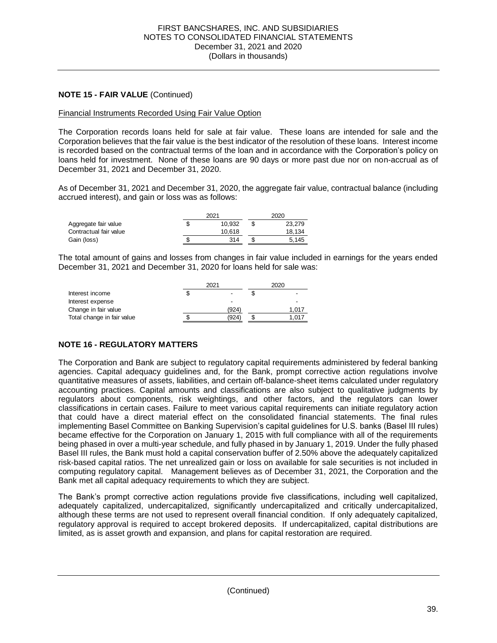#### Financial Instruments Recorded Using Fair Value Option

 The Corporation records loans held for sale at fair value. These loans are intended for sale and the Corporation believes that the fair value is the best indicator of the resolution of these loans. Interest income is recorded based on the contractual terms of the loan and in accordance with the Corporation's policy on loans held for investment. None of these loans are 90 days or more past due nor on non-accrual as of December 31, 2021 and December 31, 2020.

 As of December 31, 2021 and December 31, 2020, the aggregate fair value, contractual balance (including accrued interest), and gain or loss was as follows:

|                        | 2021   | 2020 |        |  |
|------------------------|--------|------|--------|--|
| Aggregate fair value   | 10.932 |      | 23.279 |  |
| Contractual fair value | 10.618 |      | 18.134 |  |
| Gain (loss)            | 314    |      | 5.145  |  |

 The total amount of gains and losses from changes in fair value included in earnings for the years ended December 31, 2021 and December 31, 2020 for loans held for sale was:

| Interest income<br>-                | -     |
|-------------------------------------|-------|
| Interest expense                    |       |
| Change in fair value<br>(924)       | 1.017 |
| Total change in fair value<br>(924) | 1.017 |

#### **NOTE 16 - REGULATORY MATTERS**

 The Corporation and Bank are subject to regulatory capital requirements administered by federal banking agencies. Capital adequacy guidelines and, for the Bank, prompt corrective action regulations involve quantitative measures of assets, liabilities, and certain off-balance-sheet items calculated under regulatory accounting practices. Capital amounts and classifications are also subject to qualitative judgments by regulators about components, risk weightings, and other factors, and the regulators can lower classifications in certain cases. Failure to meet various capital requirements can initiate regulatory action that could have a direct material effect on the consolidated financial statements. The final rules implementing Basel Committee on Banking Supervision's capital guidelines for U.S. banks (Basel III rules) became effective for the Corporation on January 1, 2015 with full compliance with all of the requirements being phased in over a multi-year schedule, and fully phased in by January 1, 2019. Under the fully phased Basel III rules, the Bank must hold a capital conservation buffer of 2.50% above the adequately capitalized risk-based capital ratios. The net unrealized gain or loss on available for sale securities is not included in computing regulatory capital. Management believes as of December 31, 2021, the Corporation and the Bank met all capital adequacy requirements to which they are subject.

 The Bank's prompt corrective action regulations provide five classifications, including well capitalized, although these terms are not used to represent overall financial condition. If only adequately capitalized, regulatory approval is required to accept brokered deposits. If undercapitalized, capital distributions are adequately capitalized, undercapitalized, significantly undercapitalized and critically undercapitalized, limited, as is asset growth and expansion, and plans for capital restoration are required.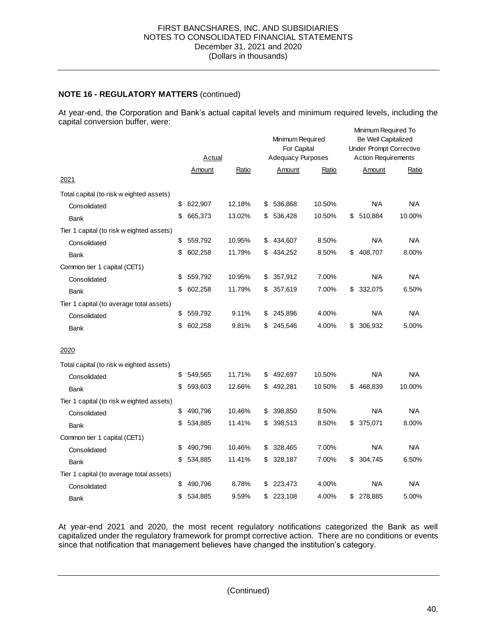#### **NOTE 16 - REGULATORY MATTERS** (continued)

 At year-end, the Corporation and Bank's actual capital levels and minimum required levels, including the capital conversion buffer, were: Minimum Required To

| <b>Action Requirements</b><br>Amount<br>Ratio<br><b>N/A</b><br><b>N/A</b><br>510,884<br>10.00% |
|------------------------------------------------------------------------------------------------|
|                                                                                                |
|                                                                                                |
|                                                                                                |
|                                                                                                |
|                                                                                                |
|                                                                                                |
| <b>N/A</b><br><b>N/A</b>                                                                       |
| 408,707<br>8.00%                                                                               |
|                                                                                                |
| <b>N/A</b><br><b>N/A</b>                                                                       |
| 332,075<br>6.50%                                                                               |
|                                                                                                |
| <b>N/A</b><br><b>N/A</b>                                                                       |
| 306,932<br>5.00%                                                                               |
|                                                                                                |
|                                                                                                |
| N/A<br><b>N/A</b>                                                                              |
| 468,839<br>10.00%                                                                              |
|                                                                                                |
| <b>N/A</b><br><b>N/A</b>                                                                       |
| 375,071<br>8.00%                                                                               |
|                                                                                                |
| <b>N/A</b><br><b>N/A</b>                                                                       |
| 6.50%<br>304,745                                                                               |
|                                                                                                |
| <b>N/A</b><br><b>N/A</b>                                                                       |
| 278,885<br>5.00%                                                                               |
|                                                                                                |

 At year-end 2021 and 2020, the most recent regulatory notifications categorized the Bank as well capitalized under the regulatory framework for prompt corrective action. There are no conditions or events since that notification that management believes have changed the institution's category.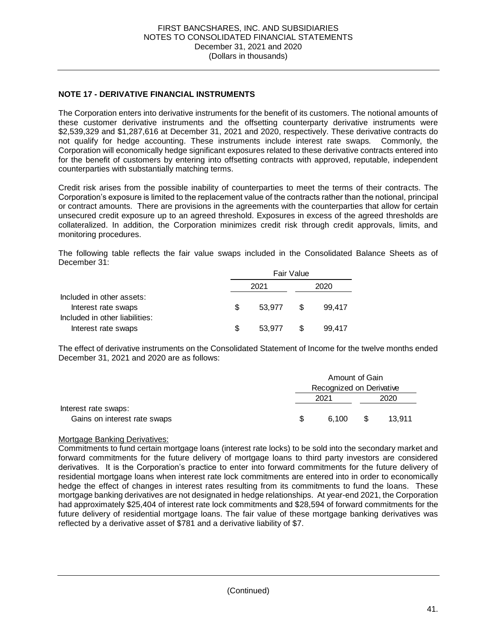#### **NOTE 17 - DERIVATIVE FINANCIAL INSTRUMENTS**

 The Corporation enters into derivative instruments for the benefit of its customers. The notional amounts of these customer derivative instruments and the offsetting counterparty derivative instruments were \$2,539,329 and \$1,287,616 at December 31, 2021 and 2020, respectively. These derivative contracts do Corporation will economically hedge significant exposures related to these derivative contracts entered into for the benefit of customers by entering into offsetting contracts with approved, reputable, independent not qualify for hedge accounting. These instruments include interest rate swaps*.* Commonly, the counterparties with substantially matching terms.

 Credit risk arises from the possible inability of counterparties to meet the terms of their contracts. The Corporation's exposure is limited to the replacement value of the contracts rather than the notional, principal or contract amounts. There are provisions in the agreements with the counterparties that allow for certain unsecured credit exposure up to an agreed threshold. Exposures in excess of the agreed thresholds are collateralized. In addition, the Corporation minimizes credit risk through credit approvals, limits, and monitoring procedures.

 The following table reflects the fair value swaps included in the Consolidated Balance Sheets as of December 31:

|                                                       |   | <b>Fair Value</b> |     |        |  |  |  |
|-------------------------------------------------------|---|-------------------|-----|--------|--|--|--|
|                                                       |   | 2021              |     | 2020   |  |  |  |
| Included in other assets:<br>Interest rate swaps      | S | 53.977            | \$. | 99.417 |  |  |  |
| Included in other liabilities:<br>Interest rate swaps | S | 53.977            |     | 99.417 |  |  |  |

 The effect of derivative instruments on the Consolidated Statement of Income for the twelve months ended December 31, 2021 and 2020 are as follows:

|                              |     | Amount of Gain           |     |        |  |  |
|------------------------------|-----|--------------------------|-----|--------|--|--|
|                              |     | Recognized on Derivative |     |        |  |  |
|                              |     | 2021                     |     | 2020   |  |  |
| Interest rate swaps:         |     |                          |     |        |  |  |
| Gains on interest rate swaps | -SG | 6.100                    | \$. | 13.911 |  |  |

#### Mortgage Banking Derivatives:

 Commitments to fund certain mortgage loans (interest rate locks) to be sold into the secondary market and forward commitments for the future delivery of mortgage loans to third party investors are considered derivatives. It is the Corporation's practice to enter into forward commitments for the future delivery of residential mortgage loans when interest rate lock commitments are entered into in order to economically hedge the effect of changes in interest rates resulting from its commitments to fund the loans. These mortgage banking derivatives are not designated in hedge relationships. At year-end 2021, the Corporation had approximately \$25,404 of interest rate lock commitments and \$28,594 of forward commitments for the future delivery of residential mortgage loans. The fair value of these mortgage banking derivatives was reflected by a derivative asset of \$781 and a derivative liability of \$7.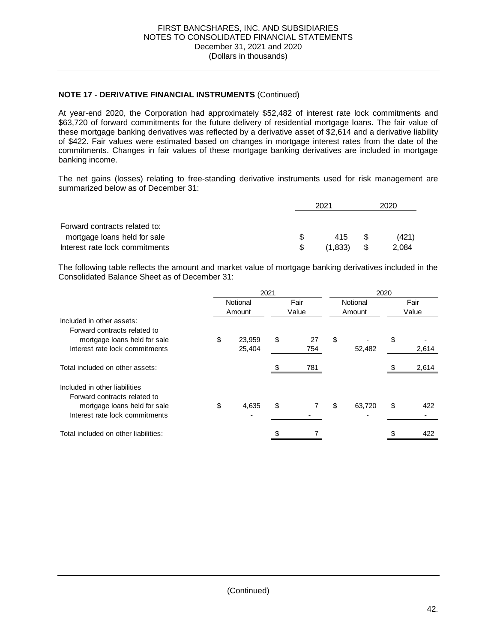#### **NOTE 17 - DERIVATIVE FINANCIAL INSTRUMENTS** (Continued)

 At year-end 2020, the Corporation had approximately \$52,482 of interest rate lock commitments and \$63,720 of forward commitments for the future delivery of residential mortgage loans. The fair value of these mortgage banking derivatives was reflected by a derivative asset of \$2,614 and a derivative liability of \$422. Fair values were estimated based on changes in mortgage interest rates from the date of the commitments. Changes in fair values of these mortgage banking derivatives are included in mortgage banking income.

 The net gains (losses) relating to free-standing derivative instruments used for risk management are summarized below as of December 31:

|                                |     | 2021    |      |       |
|--------------------------------|-----|---------|------|-------|
|                                |     |         |      |       |
| Forward contracts related to:  |     |         |      |       |
| mortgage loans held for sale   | S   | 415     | - \$ | (421) |
| Interest rate lock commitments | \$. | (1.833) | S    | 2.084 |

 The following table reflects the amount and market value of mortgage banking derivatives included in the Consolidated Balance Sheet as of December 31:

| 2021 |        |                    | 2020 |               |        |                    |       |
|------|--------|--------------------|------|---------------|--------|--------------------|-------|
|      |        |                    |      |               |        |                    | Fair  |
|      |        |                    |      |               |        |                    | Value |
|      |        |                    |      |               |        |                    |       |
|      |        |                    |      |               |        |                    |       |
| \$   | 23,959 | \$                 | 27   | \$            |        | \$                 |       |
|      | 25,404 |                    | 754  |               | 52,482 |                    | 2,614 |
|      |        |                    | 781  |               |        |                    | 2,614 |
|      |        |                    |      |               |        |                    |       |
|      |        |                    |      |               |        |                    |       |
| \$   | 4,635  | \$                 |      | \$            | 63,720 | \$                 | 422   |
|      |        |                    |      |               |        |                    |       |
|      |        |                    |      |               |        |                    | 422   |
|      |        | Notional<br>Amount |      | Fair<br>Value |        | Notional<br>Amount |       |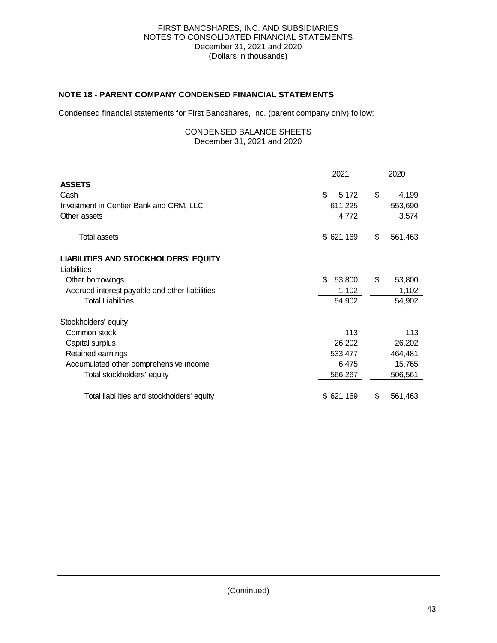#### **NOTE 18 - PARENT COMPANY CONDENSED FINANCIAL STATEMENTS**

Condensed financial statements for First Bancshares, Inc. (parent company only) follow:

#### December 31, 2021 and 2020 CONDENSED BALANCE SHEETS

|                                                | 2021         |    | 2020    |
|------------------------------------------------|--------------|----|---------|
| <b>ASSETS</b>                                  |              |    |         |
| Cash                                           | \$<br>5,172  | \$ | 4,199   |
| Investment in Centier Bank and CRM, LLC        | 611,225      |    | 553,690 |
| Other assets                                   | 4,772        |    | 3,574   |
| <b>Total assets</b>                            | \$621,169    | S  | 561,463 |
| <b>LIABILITIES AND STOCKHOLDERS' EQUITY</b>    |              |    |         |
| Liabilities                                    |              |    |         |
| Other borrowings                               | \$<br>53,800 | \$ | 53,800  |
| Accrued interest payable and other liabilities | 1,102        |    | 1,102   |
| <b>Total Liabilities</b>                       | 54,902       |    | 54,902  |
| Stockholders' equity                           |              |    |         |
| Common stock                                   | 113          |    | 113     |
| Capital surplus                                | 26,202       |    | 26,202  |
| Retained earnings                              | 533,477      |    | 464,481 |
| Accumulated other comprehensive income         | 6,475        |    | 15,765  |
| Total stockholders' equity                     | 566,267      |    | 506,561 |
|                                                |              |    |         |
| Total liabilities and stockholders' equity     | \$621,169    | Ъ  | 561,463 |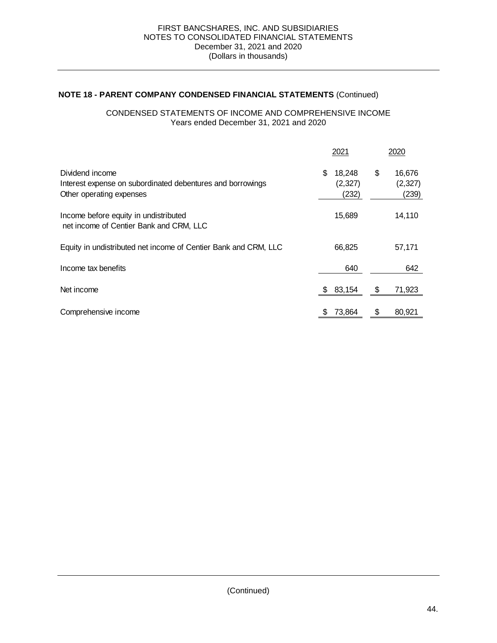#### **NOTE 18 - PARENT COMPANY CONDENSED FINANCIAL STATEMENTS** (Continued)

#### CONDENSED STATEMENTS OF INCOME AND COMPREHENSIVE INCOME Years ended December 31, 2021 and 2020

|                                                                                                           | 2021                             | 2020                             |
|-----------------------------------------------------------------------------------------------------------|----------------------------------|----------------------------------|
| Dividend income<br>Interest expense on subordinated debentures and borrowings<br>Other operating expenses | \$<br>18,248<br>(2,327)<br>(232) | \$<br>16,676<br>(2,327)<br>(239) |
| Income before equity in undistributed<br>net income of Centier Bank and CRM, LLC                          | 15,689                           | 14,110                           |
| Equity in undistributed net income of Centier Bank and CRM, LLC                                           | 66,825                           | 57,171                           |
| Income tax benefits                                                                                       | 640                              | 642                              |
| Net income                                                                                                | 83,154                           | 71,923                           |
| Comprehensive income                                                                                      | 73,864                           | 80,921                           |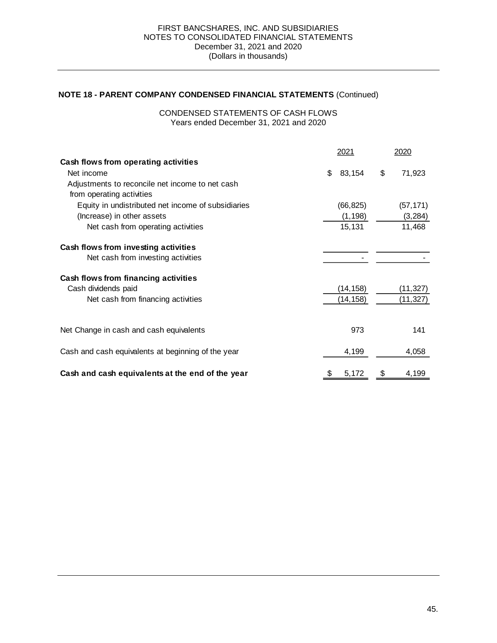#### **NOTE 18 - PARENT COMPANY CONDENSED FINANCIAL STATEMENTS** (Continued)

 Years ended December 31, 2021 and 2020 CONDENSED STATEMENTS OF CASH FLOWS

|                                                    | 2021         | 2020         |
|----------------------------------------------------|--------------|--------------|
| Cash flows from operating activities               |              |              |
| Net income                                         | \$<br>83,154 | \$<br>71,923 |
| Adjustments to reconcile net income to net cash    |              |              |
| from operating activities                          |              |              |
| Equity in undistributed net income of subsidiaries | (66, 825)    | (57, 171)    |
| (Increase) in other assets                         | (1, 198)     | (3, 284)     |
| Net cash from operating activities                 | 15,131       | 11,468       |
| Cash flows from investing activities               |              |              |
| Net cash from investing activities                 |              |              |
| Cash flows from financing activities               |              |              |
| Cash dividends paid                                | (14, 158)    | (11,327)     |
| Net cash from financing activities                 | (14, 158)    | (11, 327)    |
|                                                    |              |              |
| Net Change in cash and cash equivalents            | 973          | 141          |
| Cash and cash equivalents at beginning of the year | 4,199        | 4,058        |
|                                                    |              |              |
| Cash and cash equivalents at the end of the year   | \$<br>5,172  | \$<br>4,199  |